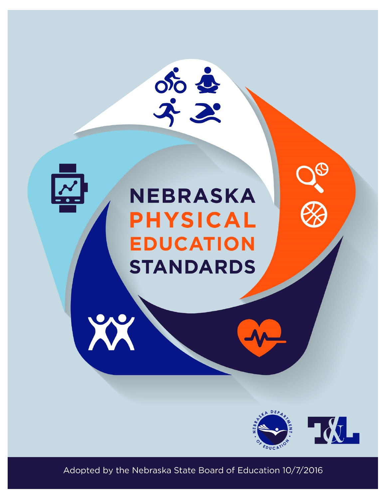



# **NEBRASKA PHYSICAL EDUCATION STANDARDS**



Adopted by the Nebraska State Board of Education 10/7/2016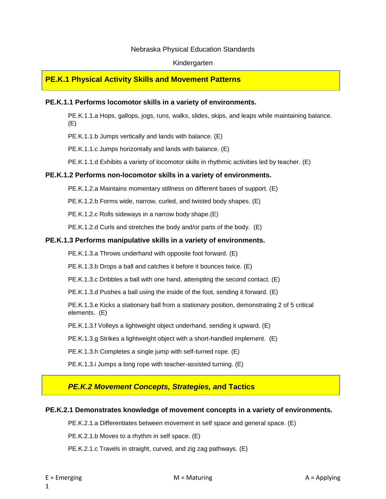#### Nebraska Physical Education Standards

#### Kindergarten

#### **PE.K.1 Physical Activity Skills and Movement Patterns**

#### **PE.K.1.1 Performs locomotor skills in a variety of environments.**

PE.K.1.1.a Hops, gallops, jogs, runs, walks, slides, skips, and leaps while maintaining balance. (E)

PE.K.1.1.b Jumps vertically and lands with balance. (E)

PE.K.1.1.c Jumps horizontally and lands with balance. (E)

PE.K.1.1.d Exhibits a variety of locomotor skills in rhythmic activities led by teacher. (E)

#### **PE.K.1.2 Performs non-locomotor skills in a variety of environments.**

PE.K.1.2.a Maintains momentary stillness on different bases of support. (E)

PE.K.1.2.b Forms wide, narrow, curled, and twisted body shapes. (E)

PE.K.1.2.c Rolls sideways in a narrow body shape.(E)

PE.K.1.2.d Curls and stretches the body and/or parts of the body. (E)

#### **PE.K.1.3 Performs manipulative skills in a variety of environments.**

PE.K.1.3.a Throws underhand with opposite foot forward. (E)

PE.K.1.3.b Drops a ball and catches it before it bounces twice. (E)

PE.K.1.3.c Dribbles a ball with one hand, attempting the second contact. (E)

PE.K.1.3.d Pushes a ball using the inside of the foot, sending it forward. (E)

PE.K.1.3.e Kicks a stationary ball from a stationary position, demonstrating 2 of 5 critical elements. (E)

PE.K.1.3.f Volleys a lightweight object underhand, sending it upward. (E)

PE.K.1.3.g Strikes a lightweight object with a short-handled implement. (E)

PE.K.1.3.h Completes a single jump with self-turned rope. (E)

PE.K.1.3.i Jumps a long rope with teacher-assisted turning. (E)

#### *PE.K.2 Movement Concepts, Strategies, an***d Tactics**

#### **PE.K.2.1 Demonstrates knowledge of movement concepts in a variety of environments.**

PE.K.2.1.a Differentiates between movement in self space and general space. (E)

PE.K.2.1.b Moves to a rhythm in self space. (E)

PE.K.2.1.c Travels in straight, curved, and zig zag pathways. (E)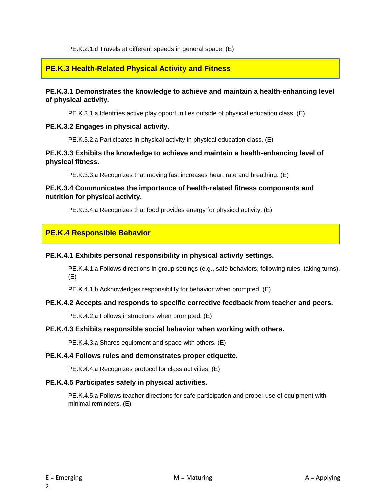PE.K.2.1.d Travels at different speeds in general space. (E)

#### **PE.K.3 Health-Related Physical Activity and Fitness**

#### **PE.K.3.1 Demonstrates the knowledge to achieve and maintain a health-enhancing level of physical activity.**

PE.K.3.1.a Identifies active play opportunities outside of physical education class. (E)

#### **PE.K.3.2 Engages in physical activity.**

PE.K.3.2.a Participates in physical activity in physical education class. (E)

#### **PE.K.3.3 Exhibits the knowledge to achieve and maintain a health-enhancing level of physical fitness.**

PE.K.3.3.a Recognizes that moving fast increases heart rate and breathing. (E)

#### **PE.K.3.4 Communicates the importance of health-related fitness components and nutrition for physical activity.**

PE.K.3.4.a Recognizes that food provides energy for physical activity. (E)

#### **PE.K.4 Responsible Behavior**

#### **PE.K.4.1 Exhibits personal responsibility in physical activity settings.**

PE.K.4.1.a Follows directions in group settings (e.g., safe behaviors, following rules, taking turns). (E)

PE.K.4.1.b Acknowledges responsibility for behavior when prompted. (E)

#### **PE.K.4.2 Accepts and responds to specific corrective feedback from teacher and peers.**

PE.K.4.2.a Follows instructions when prompted. (E)

#### **PE.K.4.3 Exhibits responsible social behavior when working with others.**

PE.K.4.3.a Shares equipment and space with others. (E)

#### **PE.K.4.4 Follows rules and demonstrates proper etiquette.**

PE.K.4.4.a Recognizes protocol for class activities. (E)

#### **PE.K.4.5 Participates safely in physical activities.**

PE.K.4.5.a Follows teacher directions for safe participation and proper use of equipment with minimal reminders. (E)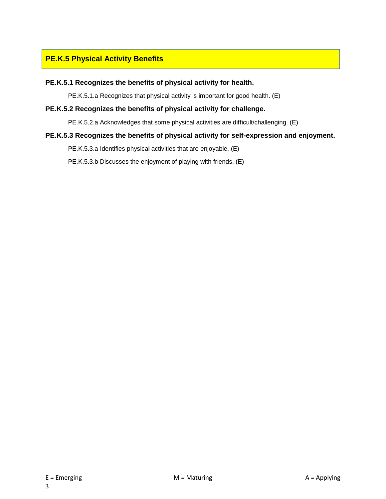#### **PE.K.5 Physical Activity Benefits**

#### **PE.K.5.1 Recognizes the benefits of physical activity for health.**

PE.K.5.1.a Recognizes that physical activity is important for good health. (E)

#### **PE.K.5.2 Recognizes the benefits of physical activity for challenge.**

PE.K.5.2.a Acknowledges that some physical activities are difficult/challenging. (E)

#### **PE.K.5.3 Recognizes the benefits of physical activity for self-expression and enjoyment.**

PE.K.5.3.a Identifies physical activities that are enjoyable. (E)

PE.K.5.3.b Discusses the enjoyment of playing with friends. (E)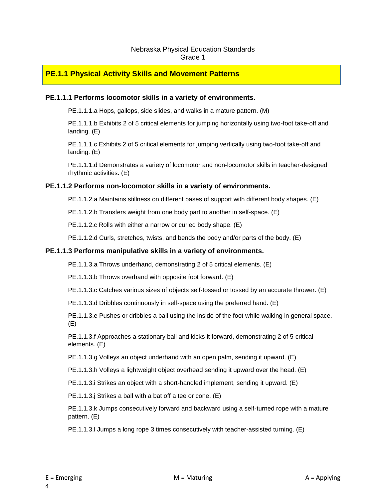#### Nebraska Physical Education Standards Grade 1

#### **PE.1.1 Physical Activity Skills and Movement Patterns**

#### **PE.1.1.1 Performs locomotor skills in a variety of environments.**

PE.1.1.1.a Hops, gallops, side slides, and walks in a mature pattern. (M)

PE.1.1.1.b Exhibits 2 of 5 critical elements for jumping horizontally using two-foot take-off and landing. (E)

PE.1.1.1.c Exhibits 2 of 5 critical elements for jumping vertically using two-foot take-off and landing. (E)

PE.1.1.1.d Demonstrates a variety of locomotor and non-locomotor skills in teacher-designed rhythmic activities. (E)

#### **PE.1.1.2 Performs non-locomotor skills in a variety of environments.**

PE.1.1.2.a Maintains stillness on different bases of support with different body shapes. (E)

PE.1.1.2.b Transfers weight from one body part to another in self-space. (E)

PE.1.1.2.c Rolls with either a narrow or curled body shape. (E)

PE.1.1.2.d Curls, stretches, twists, and bends the body and/or parts of the body. (E)

#### **PE.1.1.3 Performs manipulative skills in a variety of environments.**

PE.1.1.3.a Throws underhand, demonstrating 2 of 5 critical elements. (E)

PE.1.1.3.b Throws overhand with opposite foot forward. (E)

PE.1.1.3.c Catches various sizes of objects self-tossed or tossed by an accurate thrower. (E)

PE.1.1.3.d Dribbles continuously in self-space using the preferred hand. (E)

PE.1.1.3.e Pushes or dribbles a ball using the inside of the foot while walking in general space. (E)

PE.1.1.3.f Approaches a stationary ball and kicks it forward, demonstrating 2 of 5 critical elements. (E)

PE.1.1.3.g Volleys an object underhand with an open palm, sending it upward. (E)

PE.1.1.3.h Volleys a lightweight object overhead sending it upward over the head. (E)

PE.1.1.3.i Strikes an object with a short-handled implement, sending it upward. (E)

PE.1.1.3.j Strikes a ball with a bat off a tee or cone. (E)

PE.1.1.3.k Jumps consecutively forward and backward using a self-turned rope with a mature pattern. (E)

PE.1.1.3.l Jumps a long rope 3 times consecutively with teacher-assisted turning. (E)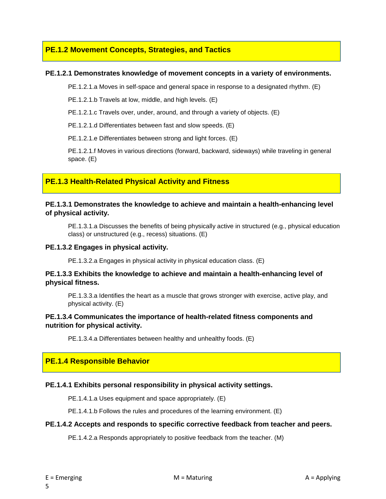#### **PE.1.2 Movement Concepts, Strategies, and Tactics**

#### **PE.1.2.1 Demonstrates knowledge of movement concepts in a variety of environments.**

PE.1.2.1.a Moves in self-space and general space in response to a designated rhythm. (E)

PE.1.2.1.b Travels at low, middle, and high levels. (E)

PE.1.2.1.c Travels over, under, around, and through a variety of objects. (E)

PE.1.2.1.d Differentiates between fast and slow speeds. (E)

PE.1.2.1.e Differentiates between strong and light forces. (E)

PE.1.2.1.f Moves in various directions (forward, backward, sideways) while traveling in general space. (E)

#### **PE.1.3 Health-Related Physical Activity and Fitness**

#### **PE.1.3.1 Demonstrates the knowledge to achieve and maintain a health-enhancing level of physical activity.**

PE.1.3.1.a Discusses the benefits of being physically active in structured (e.g., physical education class) or unstructured (e.g., recess) situations. (E)

#### **PE.1.3.2 Engages in physical activity.**

PE.1.3.2.a Engages in physical activity in physical education class. (E)

#### **PE.1.3.3 Exhibits the knowledge to achieve and maintain a health-enhancing level of physical fitness.**

PE.1.3.3.a Identifies the heart as a muscle that grows stronger with exercise, active play, and physical activity. (E)

#### **PE.1.3.4 Communicates the importance of health-related fitness components and nutrition for physical activity.**

PE.1.3.4.a Differentiates between healthy and unhealthy foods. (E)

#### **PE.1.4 Responsible Behavior**

#### **PE.1.4.1 Exhibits personal responsibility in physical activity settings.**

PE.1.4.1.a Uses equipment and space appropriately. (E)

PE.1.4.1.b Follows the rules and procedures of the learning environment. (E)

#### **PE.1.4.2 Accepts and responds to specific corrective feedback from teacher and peers.**

PE.1.4.2.a Responds appropriately to positive feedback from the teacher. (M)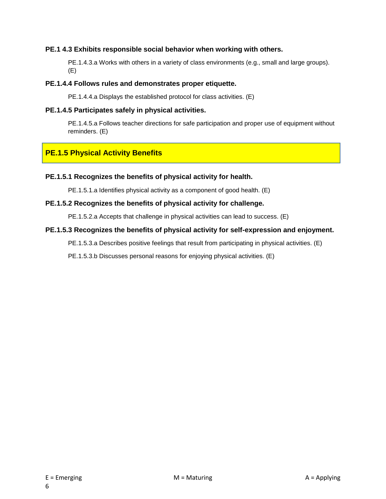#### **PE.1 4.3 Exhibits responsible social behavior when working with others.**

PE.1.4.3.a Works with others in a variety of class environments (e.g., small and large groups). (E)

#### **PE.1.4.4 Follows rules and demonstrates proper etiquette.**

PE.1.4.4.a Displays the established protocol for class activities. (E)

#### **PE.1.4.5 Participates safely in physical activities.**

PE.1.4.5.a Follows teacher directions for safe participation and proper use of equipment without reminders. (E)

#### **PE.1.5 Physical Activity Benefits**

#### **PE.1.5.1 Recognizes the benefits of physical activity for health.**

PE.1.5.1.a Identifies physical activity as a component of good health. (E)

#### **PE.1.5.2 Recognizes the benefits of physical activity for challenge.**

PE.1.5.2.a Accepts that challenge in physical activities can lead to success. (E)

#### **PE.1.5.3 Recognizes the benefits of physical activity for self-expression and enjoyment.**

PE.1.5.3.a Describes positive feelings that result from participating in physical activities. (E)

PE.1.5.3.b Discusses personal reasons for enjoying physical activities. (E)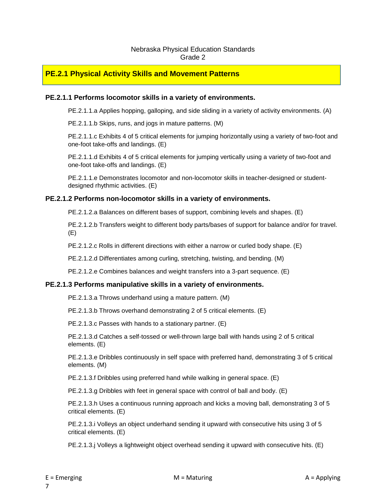#### Nebraska Physical Education Standards Grade 2

#### **PE.2.1 Physical Activity Skills and Movement Patterns**

#### **PE.2.1.1 Performs locomotor skills in a variety of environments.**

PE.2.1.1.a Applies hopping, galloping, and side sliding in a variety of activity environments. (A)

PE.2.1.1.b Skips, runs, and jogs in mature patterns. (M)

PE.2.1.1.c Exhibits 4 of 5 critical elements for jumping horizontally using a variety of two-foot and one-foot take-offs and landings. (E)

PE.2.1.1.d Exhibits 4 of 5 critical elements for jumping vertically using a variety of two-foot and one-foot take-offs and landings. (E)

PE.2.1.1.e Demonstrates locomotor and non-locomotor skills in teacher-designed or studentdesigned rhythmic activities. (E)

#### **PE.2.1.2 Performs non-locomotor skills in a variety of environments.**

PE.2.1.2.a Balances on different bases of support, combining levels and shapes. (E)

PE.2.1.2.b Transfers weight to different body parts/bases of support for balance and/or for travel. (E)

PE.2.1.2.c Rolls in different directions with either a narrow or curled body shape. (E)

PE.2.1.2.d Differentiates among curling, stretching, twisting, and bending. (M)

PE.2.1.2.e Combines balances and weight transfers into a 3-part sequence. (E)

#### **PE.2.1.3 Performs manipulative skills in a variety of environments.**

PE.2.1.3.a Throws underhand using a mature pattern. (M)

PE.2.1.3.b Throws overhand demonstrating 2 of 5 critical elements. (E)

PE.2.1.3.c Passes with hands to a stationary partner. (E)

PE.2.1.3.d Catches a self-tossed or well-thrown large ball with hands using 2 of 5 critical elements. (E)

PE.2.1.3.e Dribbles continuously in self space with preferred hand, demonstrating 3 of 5 critical elements. (M)

PE.2.1.3.f Dribbles using preferred hand while walking in general space. (E)

PE.2.1.3.g Dribbles with feet in general space with control of ball and body. (E)

PE.2.1.3.h Uses a continuous running approach and kicks a moving ball, demonstrating 3 of 5 critical elements. (E)

PE.2.1.3.i Volleys an object underhand sending it upward with consecutive hits using 3 of 5 critical elements. (E)

PE.2.1.3.j Volleys a lightweight object overhead sending it upward with consecutive hits. (E)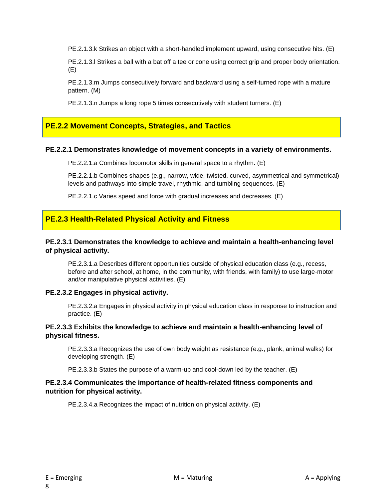PE.2.1.3.k Strikes an object with a short-handled implement upward, using consecutive hits. (E)

PE.2.1.3.l Strikes a ball with a bat off a tee or cone using correct grip and proper body orientation. (E)

PE.2.1.3.m Jumps consecutively forward and backward using a self-turned rope with a mature pattern. (M)

PE.2.1.3.n Jumps a long rope 5 times consecutively with student turners. (E)

#### **PE.2.2 Movement Concepts, Strategies, and Tactics**

#### **PE.2.2.1 Demonstrates knowledge of movement concepts in a variety of environments.**

PE.2.2.1.a Combines locomotor skills in general space to a rhythm. (E)

PE.2.2.1.b Combines shapes (e.g., narrow, wide, twisted, curved, asymmetrical and symmetrical) levels and pathways into simple travel, rhythmic, and tumbling sequences. (E)

PE.2.2.1.c Varies speed and force with gradual increases and decreases. (E)

#### **PE.2.3 Health-Related Physical Activity and Fitness**

#### **PE.2.3.1 Demonstrates the knowledge to achieve and maintain a health-enhancing level of physical activity.**

PE.2.3.1.a Describes different opportunities outside of physical education class (e.g., recess, before and after school, at home, in the community, with friends, with family) to use large-motor and/or manipulative physical activities. (E)

#### **PE.2.3.2 Engages in physical activity.**

PE.2.3.2.a Engages in physical activity in physical education class in response to instruction and practice. (E)

#### **PE.2.3.3 Exhibits the knowledge to achieve and maintain a health-enhancing level of physical fitness.**

PE.2.3.3.a Recognizes the use of own body weight as resistance (e.g., plank, animal walks) for developing strength. (E)

PE.2.3.3.b States the purpose of a warm-up and cool-down led by the teacher. (E)

#### **PE.2.3.4 Communicates the importance of health-related fitness components and nutrition for physical activity.**

PE.2.3.4.a Recognizes the impact of nutrition on physical activity. (E)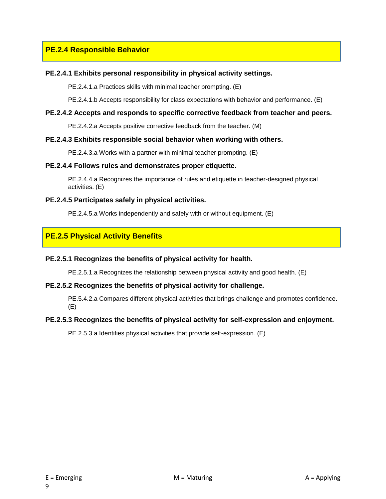#### **PE.2.4 Responsible Behavior**

#### **PE.2.4.1 Exhibits personal responsibility in physical activity settings.**

PE.2.4.1.a Practices skills with minimal teacher prompting. (E)

PE.2.4.1.b Accepts responsibility for class expectations with behavior and performance. (E)

#### **PE.2.4.2 Accepts and responds to specific corrective feedback from teacher and peers.**

PE.2.4.2.a Accepts positive corrective feedback from the teacher. (M)

#### **PE.2.4.3 Exhibits responsible social behavior when working with others.**

PE.2.4.3.a Works with a partner with minimal teacher prompting. (E)

#### **PE.2.4.4 Follows rules and demonstrates proper etiquette.**

PE.2.4.4.a Recognizes the importance of rules and etiquette in teacher-designed physical activities. (E)

#### **PE.2.4.5 Participates safely in physical activities.**

PE.2.4.5.a Works independently and safely with or without equipment. (E)

#### **PE.2.5 Physical Activity Benefits**

#### **PE.2.5.1 Recognizes the benefits of physical activity for health.**

PE.2.5.1.a Recognizes the relationship between physical activity and good health. (E)

#### **PE.2.5.2 Recognizes the benefits of physical activity for challenge.**

PE.5.4.2.a Compares different physical activities that brings challenge and promotes confidence. (E)

#### **PE.2.5.3 Recognizes the benefits of physical activity for self-expression and enjoyment.**

PE.2.5.3.a Identifies physical activities that provide self-expression. (E)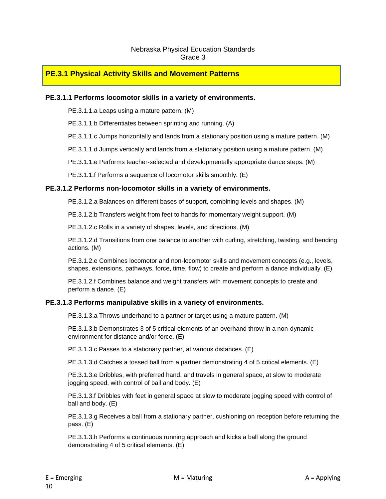#### Nebraska Physical Education Standards Grade 3

#### **PE.3.1 Physical Activity Skills and Movement Patterns**

#### **PE.3.1.1 Performs locomotor skills in a variety of environments.**

PE.3.1.1.a Leaps using a mature pattern. (M)

PE.3.1.1.b Differentiates between sprinting and running. (A)

PE.3.1.1.c Jumps horizontally and lands from a stationary position using a mature pattern. (M)

PE.3.1.1.d Jumps vertically and lands from a stationary position using a mature pattern. (M)

PE.3.1.1.e Performs teacher-selected and developmentally appropriate dance steps. (M)

PE.3.1.1.f Performs a sequence of locomotor skills smoothly. (E)

#### **PE.3.1.2 Performs non-locomotor skills in a variety of environments.**

PE.3.1.2.a Balances on different bases of support, combining levels and shapes. (M)

PE.3.1.2.b Transfers weight from feet to hands for momentary weight support. (M)

PE.3.1.2.c Rolls in a variety of shapes, levels, and directions. (M)

PE.3.1.2.d Transitions from one balance to another with curling, stretching, twisting, and bending actions. (M)

PE.3.1.2.e Combines locomotor and non-locomotor skills and movement concepts (e.g., levels, shapes, extensions, pathways, force, time, flow) to create and perform a dance individually. (E)

PE.3.1.2.f Combines balance and weight transfers with movement concepts to create and perform a dance. (E)

#### **PE.3.1.3 Performs manipulative skills in a variety of environments.**

PE.3.1.3.a Throws underhand to a partner or target using a mature pattern. (M)

PE.3.1.3.b Demonstrates 3 of 5 critical elements of an overhand throw in a non-dynamic environment for distance and/or force. (E)

PE.3.1.3.c Passes to a stationary partner, at various distances. (E)

PE.3.1.3.d Catches a tossed ball from a partner demonstrating 4 of 5 critical elements. (E)

PE.3.1.3.e Dribbles, with preferred hand, and travels in general space, at slow to moderate jogging speed, with control of ball and body. (E)

PE.3.1.3.f Dribbles with feet in general space at slow to moderate jogging speed with control of ball and body. (E)

PE.3.1.3.g Receives a ball from a stationary partner, cushioning on reception before returning the pass. (E)

PE.3.1.3.h Performs a continuous running approach and kicks a ball along the ground demonstrating 4 of 5 critical elements. (E)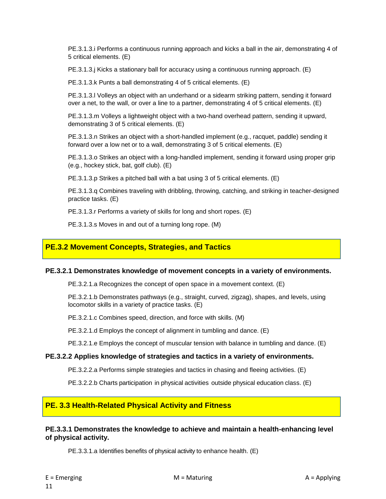PE.3.1.3.i Performs a continuous running approach and kicks a ball in the air, demonstrating 4 of 5 critical elements. (E)

PE.3.1.3.j Kicks a stationary ball for accuracy using a continuous running approach. (E)

PE.3.1.3.k Punts a ball demonstrating 4 of 5 critical elements. (E)

PE.3.1.3.l Volleys an object with an underhand or a sidearm striking pattern, sending it forward over a net, to the wall, or over a line to a partner, demonstrating 4 of 5 critical elements. (E)

PE.3.1.3.m Volleys a lightweight object with a two-hand overhead pattern, sending it upward, demonstrating 3 of 5 critical elements. (E)

PE.3.1.3.n Strikes an object with a short-handled implement (e.g., racquet, paddle) sending it forward over a low net or to a wall, demonstrating 3 of 5 critical elements. (E)

PE.3.1.3.o Strikes an object with a long-handled implement, sending it forward using proper grip (e.g., hockey stick, bat, golf club). (E)

PE.3.1.3.p Strikes a pitched ball with a bat using 3 of 5 critical elements. (E)

PE.3.1.3.q Combines traveling with dribbling, throwing, catching, and striking in teacher-designed practice tasks. (E)

PE.3.1.3.r Performs a variety of skills for long and short ropes. (E)

PE.3.1.3.s Moves in and out of a turning long rope. (M)

#### **PE.3.2 Movement Concepts, Strategies, and Tactics**

#### **PE.3.2.1 Demonstrates knowledge of movement concepts in a variety of environments.**

PE.3.2.1.a Recognizes the concept of open space in a movement context. (E)

PE.3.2.1.b Demonstrates pathways (e.g., straight, curved, zigzag), shapes, and levels, using locomotor skills in a variety of practice tasks. (E)

PE.3.2.1.c Combines speed, direction, and force with skills. (M)

PE.3.2.1.d Employs the concept of alignment in tumbling and dance. (E)

PE.3.2.1.e Employs the concept of muscular tension with balance in tumbling and dance. (E)

#### **PE.3.2.2 Applies knowledge of strategies and tactics in a variety of environments.**

PE.3.2.2.a Performs simple strategies and tactics in chasing and fleeing activities. (E)

PE.3.2.2.b Charts participation in physical activities outside physical education class. (E)

#### **PE. 3.3 Health-Related Physical Activity and Fitness**

#### **PE.3.3.1 Demonstrates the knowledge to achieve and maintain a health-enhancing level of physical activity.**

PE.3.3.1.a Identifies benefits of physical activity to enhance health. (E)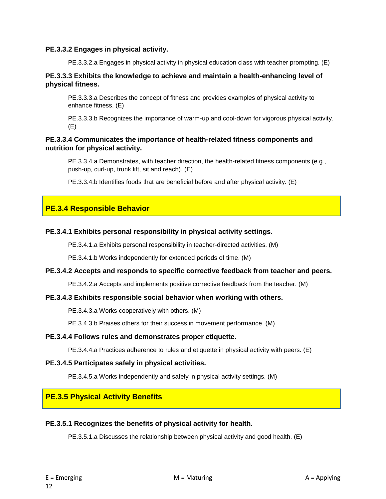#### **PE.3.3.2 Engages in physical activity.**

PE.3.3.2.a Engages in physical activity in physical education class with teacher prompting. (E)

#### **PE.3.3.3 Exhibits the knowledge to achieve and maintain a health-enhancing level of physical fitness.**

PE.3.3.3.a Describes the concept of fitness and provides examples of physical activity to enhance fitness. (E)

PE.3.3.3.b Recognizes the importance of warm-up and cool-down for vigorous physical activity. (E)

#### **PE.3.3.4 Communicates the importance of health-related fitness components and nutrition for physical activity.**

PE.3.3.4.a Demonstrates, with teacher direction, the health-related fitness components (e.g., push-up, curl-up, trunk lift, sit and reach). (E)

PE.3.3.4.b Identifies foods that are beneficial before and after physical activity. (E)

#### **PE.3.4 Responsible Behavior**

#### **PE.3.4.1 Exhibits personal responsibility in physical activity settings.**

PE.3.4.1.a Exhibits personal responsibility in teacher-directed activities. (M)

PE.3.4.1.b Works independently for extended periods of time. (M)

#### **PE.3.4.2 Accepts and responds to specific corrective feedback from teacher and peers.**

PE.3.4.2.a Accepts and implements positive corrective feedback from the teacher. (M)

#### **PE.3.4.3 Exhibits responsible social behavior when working with others.**

PE.3.4.3.a Works cooperatively with others. (M)

PE.3.4.3.b Praises others for their success in movement performance. (M)

#### **PE.3.4.4 Follows rules and demonstrates proper etiquette.**

PE.3.4.4.a Practices adherence to rules and etiquette in physical activity with peers. (E)

#### **PE.3.4.5 Participates safely in physical activities.**

PE.3.4.5.a Works independently and safely in physical activity settings. (M)

#### **PE.3.5 Physical Activity Benefits**

#### **PE.3.5.1 Recognizes the benefits of physical activity for health.**

PE.3.5.1.a Discusses the relationship between physical activity and good health. (E)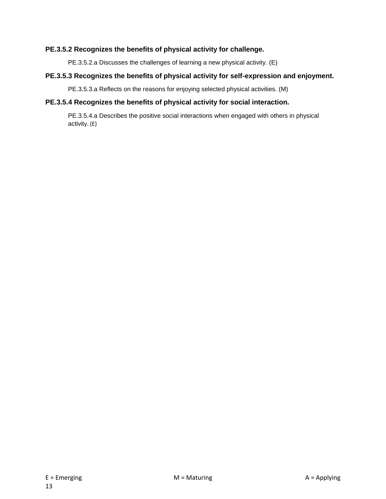#### **PE.3.5.2 Recognizes the benefits of physical activity for challenge.**

PE.3.5.2.a Discusses the challenges of learning a new physical activity. (E)

#### **PE.3.5.3 Recognizes the benefits of physical activity for self-expression and enjoyment.**

PE.3.5.3.a Reflects on the reasons for enjoying selected physical activities. (M)

#### **PE.3.5.4 Recognizes the benefits of physical activity for social interaction.**

PE.3.5.4.a Describes the positive social interactions when engaged with others in physical activity. (E)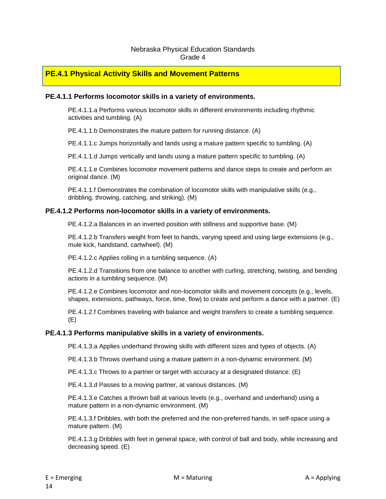#### Nebraska Physical Education Standards Grade 4

#### **PE.4.1 Physical Activity Skills and Movement Patterns**

#### **PE.4.1.1 Performs locomotor skills in a variety of environments.**

PE.4.1.1.a Performs various locomotor skills in different environments including rhythmic activities and tumbling. (A)

PE.4.1.1.b Demonstrates the mature pattern for running distance. (A)

PE.4.1.1.c Jumps horizontally and lands using a mature pattern specific to tumbling. (A)

PE.4.1.1.d Jumps vertically and lands using a mature pattern specific to tumbling. (A)

PE.4.1.1.e Combines locomotor movement patterns and dance steps to create and perform an original dance. (M)

PE.4.1.1.f Demonstrates the combination of locomotor skills with manipulative skills (e.g., dribbling, throwing, catching, and striking). (M)

#### **PE.4.1.2 Performs non-locomotor skills in a variety of environments.**

PE.4.1.2.a Balances in an inverted position with stillness and supportive base. (M)

PE.4.1.2.b Transfers weight from feet to hands, varying speed and using large extensions (e.g., mule kick, handstand, cartwheel). (M)

PE.4.1.2.c Applies rolling in a tumbling sequence. (A)

PE.4.1.2.d Transitions from one balance to another with curling, stretching, twisting, and bending actions in a tumbling sequence. (M)

PE.4.1.2.e Combines locomotor and non-locomotor skills and movement concepts (e.g., levels, shapes, extensions, pathways, force, time, flow) to create and perform a dance with a partner. (E)

PE.4.1.2.f Combines traveling with balance and weight transfers to create a tumbling sequence. (E)

#### **PE.4.1.3 Performs manipulative skills in a variety of environments.**

PE.4.1.3.a Applies underhand throwing skills with different sizes and types of objects. (A)

PE.4.1.3.b Throws overhand using a mature pattern in a non-dynamic environment. (M)

PE.4.1.3.c Throws to a partner or target with accuracy at a designated distance. (E)

PE.4.1.3.d Passes to a moving partner, at various distances. (M)

PE.4.1.3.e Catches a thrown ball at various levels (e.g., overhand and underhand) using a mature pattern in a non-dynamic environment. (M)

PE.4.1.3.f Dribbles, with both the preferred and the non-preferred hands, in self-space using a mature pattern. (M)

PE.4.1.3.g Dribbles with feet in general space, with control of ball and body, while increasing and decreasing speed. (E)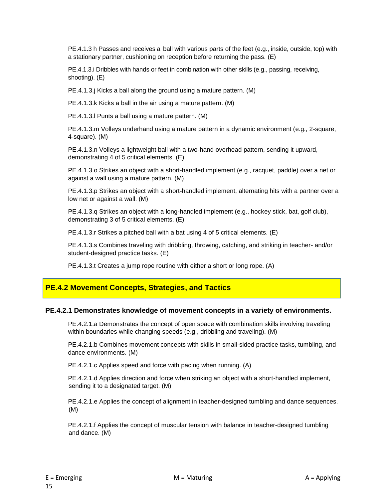PE.4.1.3 h Passes and receives a ball with various parts of the feet (e.g., inside, outside, top) with a stationary partner, cushioning on reception before returning the pass. (E)

PE.4.1.3.i Dribbles with hands or feet in combination with other skills (e.g., passing, receiving, shooting). (E)

PE.4.1.3.j Kicks a ball along the ground using a mature pattern. (M)

PE.4.1.3.k Kicks a ball in the air using a mature pattern. (M)

PE.4.1.3.l Punts a ball using a mature pattern. (M)

PE.4.1.3.m Volleys underhand using a mature pattern in a dynamic environment (e.g., 2-square, 4-square). (M)

PE.4.1.3.n Volleys a lightweight ball with a two-hand overhead pattern, sending it upward, demonstrating 4 of 5 critical elements. (E)

PE.4.1.3.o Strikes an object with a short-handled implement (e.g., racquet, paddle) over a net or against a wall using a mature pattern. (M)

PE.4.1.3.p Strikes an object with a short-handled implement, alternating hits with a partner over a low net or against a wall. (M)

PE.4.1.3.q Strikes an object with a long-handled implement (e.g., hockey stick, bat, golf club), demonstrating 3 of 5 critical elements. (E)

PE.4.1.3.r Strikes a pitched ball with a bat using 4 of 5 critical elements. (E)

PE.4.1.3.s Combines traveling with dribbling, throwing, catching, and striking in teacher- and/or student-designed practice tasks. (E)

PE.4.1.3.t Creates a jump rope routine with either a short or long rope. (A)

#### **PE.4.2 Movement Concepts, Strategies, and Tactics**

#### **PE.4.2.1 Demonstrates knowledge of movement concepts in a variety of environments.**

PE.4.2.1.a Demonstrates the concept of open space with combination skills involving traveling within boundaries while changing speeds (e.g., dribbling and traveling). (M)

PE.4.2.1.b Combines movement concepts with skills in small-sided practice tasks, tumbling, and dance environments. (M)

PE.4.2.1.c Applies speed and force with pacing when running. (A)

PE.4.2.1.d Applies direction and force when striking an object with a short-handled implement, sending it to a designated target. (M)

PE.4.2.1.e Applies the concept of alignment in teacher-designed tumbling and dance sequences. (M)

PE.4.2.1.f Applies the concept of muscular tension with balance in teacher-designed tumbling and dance. (M)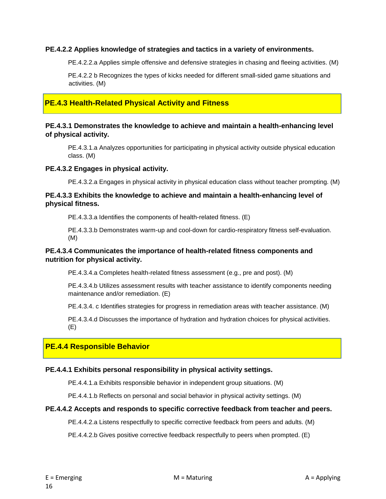#### **PE.4.2.2 Applies knowledge of strategies and tactics in a variety of environments.**

PE.4.2.2.a Applies simple offensive and defensive strategies in chasing and fleeing activities. (M)

PE.4.2.2 b Recognizes the types of kicks needed for different small-sided game situations and activities. (M)

#### **PE.4.3 Health-Related Physical Activity and Fitness**

#### **PE.4.3.1 Demonstrates the knowledge to achieve and maintain a health-enhancing level of physical activity.**

PE.4.3.1.a Analyzes opportunities for participating in physical activity outside physical education class. (M)

#### **PE.4.3.2 Engages in physical activity.**

PE.4.3.2.a Engages in physical activity in physical education class without teacher prompting. (M)

#### **PE.4.3.3 Exhibits the knowledge to achieve and maintain a health-enhancing level of physical fitness.**

PE.4.3.3.a Identifies the components of health-related fitness. (E)

PE.4.3.3.b Demonstrates warm-up and cool-down for cardio-respiratory fitness self-evaluation. (M)

#### **PE.4.3.4 Communicates the importance of health-related fitness components and nutrition for physical activity.**

PE.4.3.4.a Completes health-related fitness assessment (e.g., pre and post). (M)

PE.4.3.4.b Utilizes assessment results with teacher assistance to identify components needing maintenance and/or remediation. (E)

PE.4.3.4. c Identifies strategies for progress in remediation areas with teacher assistance. (M)

PE.4.3.4.d Discusses the importance of hydration and hydration choices for physical activities. (E)

#### **PE.4.4 Responsible Behavior**

#### **PE.4.4.1 Exhibits personal responsibility in physical activity settings.**

PE.4.4.1.a Exhibits responsible behavior in independent group situations. (M)

PE.4.4.1.b Reflects on personal and social behavior in physical activity settings. (M)

#### **PE.4.4.2 Accepts and responds to specific corrective feedback from teacher and peers.**

PE.4.4.2.a Listens respectfully to specific corrective feedback from peers and adults. (M)

PE.4.4.2.b Gives positive corrective feedback respectfully to peers when prompted. (E)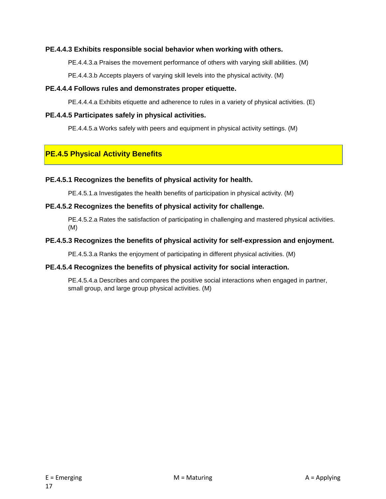#### **PE.4.4.3 Exhibits responsible social behavior when working with others.**

PE.4.4.3.a Praises the movement performance of others with varying skill abilities. (M)

PE.4.4.3.b Accepts players of varying skill levels into the physical activity. (M)

#### **PE.4.4.4 Follows rules and demonstrates proper etiquette.**

PE.4.4.4.a Exhibits etiquette and adherence to rules in a variety of physical activities. (E)

#### **PE.4.4.5 Participates safely in physical activities.**

PE.4.4.5.a Works safely with peers and equipment in physical activity settings. (M)

#### **PE.4.5 Physical Activity Benefits**

#### **PE.4.5.1 Recognizes the benefits of physical activity for health.**

PE.4.5.1.a Investigates the health benefits of participation in physical activity. (M)

#### **PE.4.5.2 Recognizes the benefits of physical activity for challenge.**

PE.4.5.2.a Rates the satisfaction of participating in challenging and mastered physical activities. (M)

#### **PE.4.5.3 Recognizes the benefits of physical activity for self-expression and enjoyment.**

PE.4.5.3.a Ranks the enjoyment of participating in different physical activities. (M)

#### **PE.4.5.4 Recognizes the benefits of physical activity for social interaction.**

PE.4.5.4.a Describes and compares the positive social interactions when engaged in partner, small group, and large group physical activities. (M)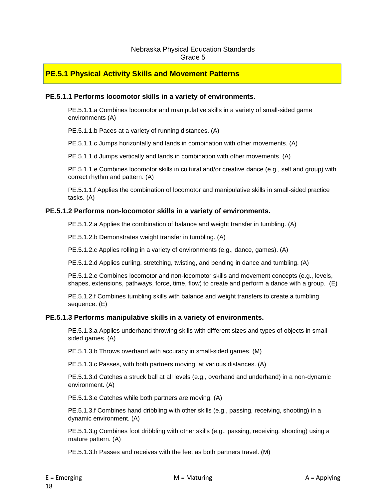#### Nebraska Physical Education Standards Grade 5

#### **PE.5.1 Physical Activity Skills and Movement Patterns**

#### **PE.5.1.1 Performs locomotor skills in a variety of environments.**

PE.5.1.1.a Combines locomotor and manipulative skills in a variety of small-sided game environments (A)

PE.5.1.1.b Paces at a variety of running distances. (A)

PE.5.1.1.c Jumps horizontally and lands in combination with other movements. (A)

PE.5.1.1.d Jumps vertically and lands in combination with other movements. (A)

PE.5.1.1.e Combines locomotor skills in cultural and/or creative dance (e.g., self and group) with correct rhythm and pattern. (A)

PE.5.1.1.f Applies the combination of locomotor and manipulative skills in small-sided practice tasks. (A)

#### **PE.5.1.2 Performs non-locomotor skills in a variety of environments.**

PE.5.1.2.a Applies the combination of balance and weight transfer in tumbling. (A)

PE.5.1.2.b Demonstrates weight transfer in tumbling. (A)

PE.5.1.2.c Applies rolling in a variety of environments (e.g., dance, games). (A)

PE.5.1.2.d Applies curling, stretching, twisting, and bending in dance and tumbling. (A)

PE.5.1.2.e Combines locomotor and non-locomotor skills and movement concepts (e.g., levels, shapes, extensions, pathways, force, time, flow) to create and perform a dance with a group. (E)

PE.5.1.2.f Combines tumbling skills with balance and weight transfers to create a tumbling sequence. (E)

#### **PE.5.1.3 Performs manipulative skills in a variety of environments.**

PE.5.1.3.a Applies underhand throwing skills with different sizes and types of objects in smallsided games. (A)

PE.5.1.3.b Throws overhand with accuracy in small-sided games. (M)

PE.5.1.3.c Passes, with both partners moving, at various distances. (A)

PE.5.1.3.d Catches a struck ball at all levels (e.g., overhand and underhand) in a non-dynamic environment. (A)

PE.5.1.3.e Catches while both partners are moving. (A)

PE.5.1.3.f Combines hand dribbling with other skills (e.g., passing, receiving, shooting) in a dynamic environment. (A)

PE.5.1.3.g Combines foot dribbling with other skills (e.g., passing, receiving, shooting) using a mature pattern. (A)

PE.5.1.3.h Passes and receives with the feet as both partners travel. (M)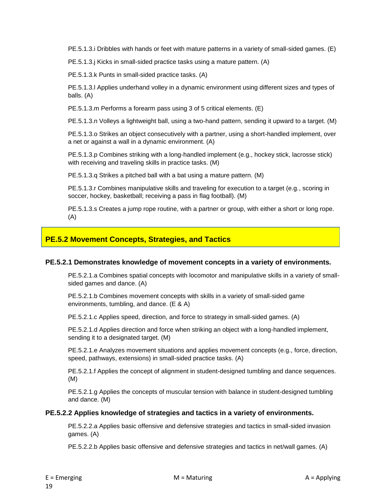PE.5.1.3.i Dribbles with hands or feet with mature patterns in a variety of small-sided games. (E)

PE.5.1.3.j Kicks in small-sided practice tasks using a mature pattern. (A)

PE.5.1.3.k Punts in small-sided practice tasks. (A)

PE.5.1.3.l Applies underhand volley in a dynamic environment using different sizes and types of balls. (A)

PE.5.1.3.m Performs a forearm pass using 3 of 5 critical elements. (E)

PE.5.1.3.n Volleys a lightweight ball, using a two-hand pattern, sending it upward to a target. (M)

PE.5.1.3.o Strikes an object consecutively with a partner, using a short-handled implement, over a net or against a wall in a dynamic environment. (A)

PE.5.1.3.p Combines striking with a long-handled implement (e.g., hockey stick, lacrosse stick) with receiving and traveling skills in practice tasks. (M)

PE.5.1.3.q Strikes a pitched ball with a bat using a mature pattern. (M)

PE.5.1.3.r Combines manipulative skills and traveling for execution to a target (e.g., scoring in soccer, hockey, basketball; receiving a pass in flag football). (M)

PE.5.1.3.s Creates a jump rope routine, with a partner or group, with either a short or long rope. (A)

#### **PE.5.2 Movement Concepts, Strategies, and Tactics**

#### **PE.5.2.1 Demonstrates knowledge of movement concepts in a variety of environments.**

PE.5.2.1.a Combines spatial concepts with locomotor and manipulative skills in a variety of smallsided games and dance. (A)

PE.5.2.1.b Combines movement concepts with skills in a variety of small-sided game environments, tumbling, and dance. (E & A)

PE.5.2.1.c Applies speed, direction, and force to strategy in small-sided games. (A)

PE.5.2.1.d Applies direction and force when striking an object with a long-handled implement, sending it to a designated target. (M)

PE.5.2.1.e Analyzes movement situations and applies movement concepts (e.g., force, direction, speed, pathways, extensions) in small-sided practice tasks. (A)

PE.5.2.1.f Applies the concept of alignment in student-designed tumbling and dance sequences. (M)

PE.5.2.1.g Applies the concepts of muscular tension with balance in student-designed tumbling and dance. (M)

#### **PE.5.2.2 Applies knowledge of strategies and tactics in a variety of environments.**

PE.5.2.2.a Applies basic offensive and defensive strategies and tactics in small-sided invasion games. (A)

PE.5.2.2.b Applies basic offensive and defensive strategies and tactics in net/wall games. (A)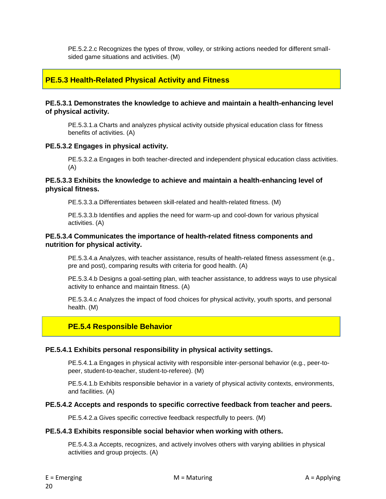PE.5.2.2.c Recognizes the types of throw, volley, or striking actions needed for different smallsided game situations and activities. (M)

#### **PE.5.3 Health-Related Physical Activity and Fitness**

#### **PE.5.3.1 Demonstrates the knowledge to achieve and maintain a health-enhancing level of physical activity.**

PE.5.3.1.a Charts and analyzes physical activity outside physical education class for fitness benefits of activities. (A)

#### **PE.5.3.2 Engages in physical activity.**

PE.5.3.2.a Engages in both teacher-directed and independent physical education class activities. (A)

#### **PE.5.3.3 Exhibits the knowledge to achieve and maintain a health-enhancing level of physical fitness.**

PE.5.3.3.a Differentiates between skill-related and health-related fitness. (M)

PE.5.3.3.b Identifies and applies the need for warm-up and cool-down for various physical activities. (A)

#### **PE.5.3.4 Communicates the importance of health-related fitness components and nutrition for physical activity.**

PE.5.3.4.a Analyzes, with teacher assistance, results of health-related fitness assessment (e.g., pre and post), comparing results with criteria for good health. (A)

PE.5.3.4.b Designs a goal-setting plan, with teacher assistance, to address ways to use physical activity to enhance and maintain fitness. (A)

PE.5.3.4.c Analyzes the impact of food choices for physical activity, youth sports, and personal health. (M)

#### **PE.5.4 Responsible Behavior**

#### **PE.5.4.1 Exhibits personal responsibility in physical activity settings.**

PE.5.4.1.a Engages in physical activity with responsible inter-personal behavior (e.g., peer-topeer, student-to-teacher, student-to-referee). (M)

PE.5.4.1.b Exhibits responsible behavior in a variety of physical activity contexts, environments, and facilities. (A)

#### **PE.5.4.2 Accepts and responds to specific corrective feedback from teacher and peers.**

PE.5.4.2.a Gives specific corrective feedback respectfully to peers. (M)

#### **PE.5.4.3 Exhibits responsible social behavior when working with others.**

PE.5.4.3.a Accepts, recognizes, and actively involves others with varying abilities in physical activities and group projects. (A)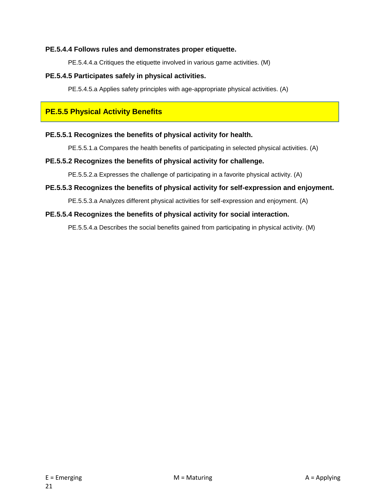#### **PE.5.4.4 Follows rules and demonstrates proper etiquette.**

PE.5.4.4.a Critiques the etiquette involved in various game activities. (M)

#### **PE.5.4.5 Participates safely in physical activities.**

PE.5.4.5.a Applies safety principles with age-appropriate physical activities. (A)

#### **PE.5.5 Physical Activity Benefits**

#### **PE.5.5.1 Recognizes the benefits of physical activity for health.**

PE.5.5.1.a Compares the health benefits of participating in selected physical activities. (A)

#### **PE.5.5.2 Recognizes the benefits of physical activity for challenge.**

PE.5.5.2.a Expresses the challenge of participating in a favorite physical activity. (A)

#### **PE.5.5.3 Recognizes the benefits of physical activity for self-expression and enjoyment.**

PE.5.5.3.a Analyzes different physical activities for self-expression and enjoyment. (A)

#### **PE.5.5.4 Recognizes the benefits of physical activity for social interaction.**

PE.5.5.4.a Describes the social benefits gained from participating in physical activity. (M)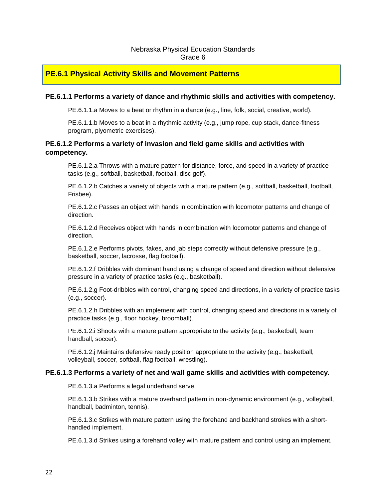#### Nebraska Physical Education Standards Grade 6

#### **PE.6.1 Physical Activity Skills and Movement Patterns**

#### **PE.6.1.1 Performs a variety of dance and rhythmic skills and activities with competency.**

PE.6.1.1.a Moves to a beat or rhythm in a dance (e.g., line, folk, social, creative, world).

PE.6.1.1.b Moves to a beat in a rhythmic activity (e.g., jump rope, cup stack, dance-fitness program, plyometric exercises).

#### **PE.6.1.2 Performs a variety of invasion and field game skills and activities with competency.**

PE.6.1.2.a Throws with a mature pattern for distance, force, and speed in a variety of practice tasks (e.g., softball, basketball, football, disc golf).

PE.6.1.2.b Catches a variety of objects with a mature pattern (e.g., softball, basketball, football, Frisbee).

PE.6.1.2.c Passes an object with hands in combination with locomotor patterns and change of direction.

PE.6.1.2.d Receives object with hands in combination with locomotor patterns and change of direction.

PE.6.1.2.e Performs pivots, fakes, and jab steps correctly without defensive pressure (e.g., basketball, soccer, lacrosse, flag football).

PE.6.1.2.f Dribbles with dominant hand using a change of speed and direction without defensive pressure in a variety of practice tasks (e.g., basketball).

PE.6.1.2.g Foot-dribbles with control, changing speed and directions, in a variety of practice tasks (e.g., soccer).

PE.6.1.2.h Dribbles with an implement with control, changing speed and directions in a variety of practice tasks (e.g., floor hockey, broomball).

PE.6.1.2.i Shoots with a mature pattern appropriate to the activity (e.g., basketball, team handball, soccer).

PE.6.1.2.j Maintains defensive ready position appropriate to the activity (e.g., basketball, volleyball, soccer, softball, flag football, wrestling).

#### **PE.6.1.3 Performs a variety of net and wall game skills and activities with competency.**

PE.6.1.3.a Performs a legal underhand serve.

PE.6.1.3.b Strikes with a mature overhand pattern in non-dynamic environment (e.g., volleyball, handball, badminton, tennis).

PE.6.1.3.c Strikes with mature pattern using the forehand and backhand strokes with a shorthandled implement.

PE.6.1.3.d Strikes using a forehand volley with mature pattern and control using an implement.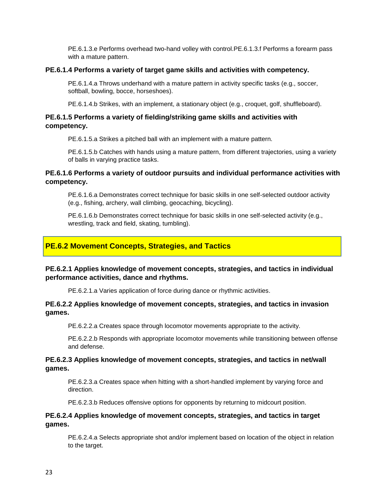PE.6.1.3.e Performs overhead two-hand volley with control.PE.6.1.3.f Performs a forearm pass with a mature pattern.

#### **PE.6.1.4 Performs a variety of target game skills and activities with competency.**

PE.6.1.4.a Throws underhand with a mature pattern in activity specific tasks (e.g., soccer, softball, bowling, bocce, horseshoes).

PE.6.1.4.b Strikes, with an implement, a stationary object (e.g., croquet, golf, shuffleboard).

#### **PE.6.1.5 Performs a variety of fielding/striking game skills and activities with competency.**

PE.6.1.5.a Strikes a pitched ball with an implement with a mature pattern.

PE.6.1.5.b Catches with hands using a mature pattern, from different trajectories, using a variety of balls in varying practice tasks.

#### **PE.6.1.6 Performs a variety of outdoor pursuits and individual performance activities with competency.**

PE.6.1.6.a Demonstrates correct technique for basic skills in one self-selected outdoor activity (e.g., fishing, archery, wall climbing, geocaching, bicycling).

PE.6.1.6.b Demonstrates correct technique for basic skills in one self-selected activity (e.g., wrestling, track and field, skating, tumbling).

#### **PE.6.2 Movement Concepts, Strategies, and Tactics**

#### **PE.6.2.1 Applies knowledge of movement concepts, strategies, and tactics in individual performance activities, dance and rhythms.**

PE.6.2.1.a Varies application of force during dance or rhythmic activities.

#### **PE.6.2.2 Applies knowledge of movement concepts, strategies, and tactics in invasion games.**

PE.6.2.2.a Creates space through locomotor movements appropriate to the activity.

PE.6.2.2.b Responds with appropriate locomotor movements while transitioning between offense and defense.

#### **PE.6.2.3 Applies knowledge of movement concepts, strategies, and tactics in net/wall games.**

PE.6.2.3.a Creates space when hitting with a short-handled implement by varying force and direction.

PE.6.2.3.b Reduces offensive options for opponents by returning to midcourt position.

#### **PE.6.2.4 Applies knowledge of movement concepts, strategies, and tactics in target games.**

PE.6.2.4.a Selects appropriate shot and/or implement based on location of the object in relation to the target.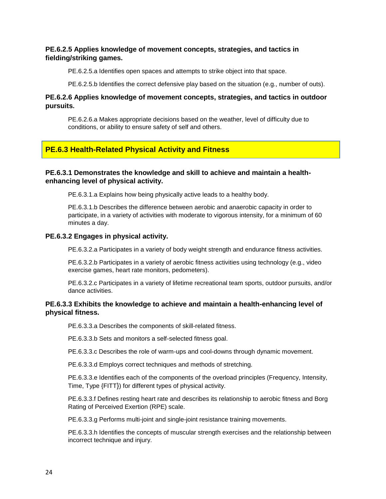#### **PE.6.2.5 Applies knowledge of movement concepts, strategies, and tactics in fielding/striking games.**

PE.6.2.5.a Identifies open spaces and attempts to strike object into that space.

PE.6.2.5.b Identifies the correct defensive play based on the situation (e.g., number of outs).

#### **PE.6.2.6 Applies knowledge of movement concepts, strategies, and tactics in outdoor pursuits.**

PE.6.2.6.a Makes appropriate decisions based on the weather, level of difficulty due to conditions, or ability to ensure safety of self and others.

#### **PE.6.3 Health-Related Physical Activity and Fitness**

#### **PE.6.3.1 Demonstrates the knowledge and skill to achieve and maintain a healthenhancing level of physical activity.**

PE.6.3.1.a Explains how being physically active leads to a healthy body.

PE.6.3.1.b Describes the difference between aerobic and anaerobic capacity in order to participate, in a variety of activities with moderate to vigorous intensity, for a minimum of 60 minutes a day.

#### **PE.6.3.2 Engages in physical activity.**

PE.6.3.2.a Participates in a variety of body weight strength and endurance fitness activities.

PE.6.3.2.b Participates in a variety of aerobic fitness activities using technology (e.g., video exercise games, heart rate monitors, pedometers).

PE.6.3.2.c Participates in a variety of lifetime recreational team sports, outdoor pursuits, and/or dance activities.

#### **PE.6.3.3 Exhibits the knowledge to achieve and maintain a health-enhancing level of physical fitness.**

PE.6.3.3.a Describes the components of skill-related fitness.

PE.6.3.3.b Sets and monitors a self-selected fitness goal.

PE.6.3.3.c Describes the role of warm-ups and cool-downs through dynamic movement.

PE.6.3.3.d Employs correct techniques and methods of stretching.

PE.6.3.3.e Identifies each of the components of the overload principles (Frequency, Intensity, Time, Type {FITT}) for different types of physical activity.

PE.6.3.3.f Defines resting heart rate and describes its relationship to aerobic fitness and Borg Rating of Perceived Exertion (RPE) scale.

PE.6.3.3.g Performs multi-joint and single-joint resistance training movements.

PE.6.3.3.h Identifies the concepts of muscular strength exercises and the relationship between incorrect technique and injury.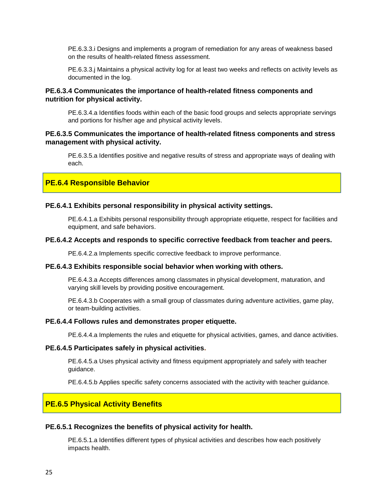PE.6.3.3.i Designs and implements a program of remediation for any areas of weakness based on the results of health-related fitness assessment.

PE.6.3.3.j Maintains a physical activity log for at least two weeks and reflects on activity levels as documented in the log.

#### **PE.6.3.4 Communicates the importance of health-related fitness components and nutrition for physical activity.**

PE.6.3.4.a Identifies foods within each of the basic food groups and selects appropriate servings and portions for his/her age and physical activity levels.

#### **PE.6.3.5 Communicates the importance of health-related fitness components and stress management with physical activity.**

PE.6.3.5.a Identifies positive and negative results of stress and appropriate ways of dealing with each.

#### **PE.6.4 Responsible Behavior**

#### **PE.6.4.1 Exhibits personal responsibility in physical activity settings.**

PE.6.4.1.a Exhibits personal responsibility through appropriate etiquette, respect for facilities and equipment, and safe behaviors.

#### **PE.6.4.2 Accepts and responds to specific corrective feedback from teacher and peers.**

PE.6.4.2.a Implements specific corrective feedback to improve performance.

#### **PE.6.4.3 Exhibits responsible social behavior when working with others.**

PE.6.4.3.a Accepts differences among classmates in physical development, maturation, and varying skill levels by providing positive encouragement.

PE.6.4.3.b Cooperates with a small group of classmates during adventure activities, game play, or team-building activities.

#### **PE.6.4.4 Follows rules and demonstrates proper etiquette.**

PE.6.4.4.a Implements the rules and etiquette for physical activities, games, and dance activities.

#### **PE.6.4.5 Participates safely in physical activities.**

PE.6.4.5.a Uses physical activity and fitness equipment appropriately and safely with teacher guidance.

PE.6.4.5.b Applies specific safety concerns associated with the activity with teacher guidance.

#### **PE.6.5 Physical Activity Benefits**

#### **PE.6.5.1 Recognizes the benefits of physical activity for health.**

PE.6.5.1.a Identifies different types of physical activities and describes how each positively impacts health.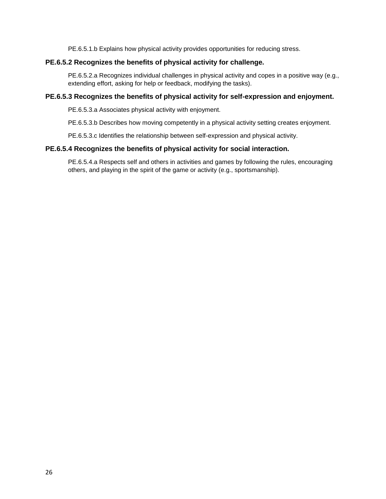PE.6.5.1.b Explains how physical activity provides opportunities for reducing stress.

#### **PE.6.5.2 Recognizes the benefits of physical activity for challenge.**

PE.6.5.2.a Recognizes individual challenges in physical activity and copes in a positive way (e.g., extending effort, asking for help or feedback, modifying the tasks).

#### **PE.6.5.3 Recognizes the benefits of physical activity for self-expression and enjoyment.**

PE.6.5.3.a Associates physical activity with enjoyment.

PE.6.5.3.b Describes how moving competently in a physical activity setting creates enjoyment.

PE.6.5.3.c Identifies the relationship between self-expression and physical activity.

#### **PE.6.5.4 Recognizes the benefits of physical activity for social interaction.**

PE.6.5.4.a Respects self and others in activities and games by following the rules, encouraging others, and playing in the spirit of the game or activity (e.g., sportsmanship).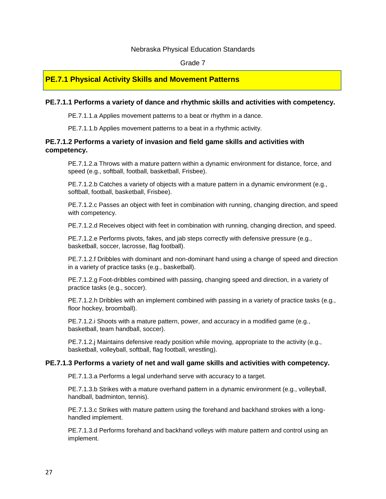#### Nebraska Physical Education Standards

#### Grade 7

#### **PE.7.1 Physical Activity Skills and Movement Patterns**

#### **PE.7.1.1 Performs a variety of dance and rhythmic skills and activities with competency.**

PE.7.1.1.a Applies movement patterns to a beat or rhythm in a dance.

PE.7.1.1.b Applies movement patterns to a beat in a rhythmic activity.

#### **PE.7.1.2 Performs a variety of invasion and field game skills and activities with competency.**

PE.7.1.2.a Throws with a mature pattern within a dynamic environment for distance, force, and speed (e.g., softball, football, basketball, Frisbee).

PE.7.1.2.b Catches a variety of objects with a mature pattern in a dynamic environment (e.g., softball, football, basketball, Frisbee).

PE.7.1.2.c Passes an object with feet in combination with running, changing direction, and speed with competency.

PE.7.1.2.d Receives object with feet in combination with running, changing direction, and speed.

PE.7.1.2.e Performs pivots, fakes, and jab steps correctly with defensive pressure (e.g., basketball, soccer, lacrosse, flag football).

PE.7.1.2.f Dribbles with dominant and non-dominant hand using a change of speed and direction in a variety of practice tasks (e.g., basketball).

PE.7.1.2.g Foot-dribbles combined with passing, changing speed and direction, in a variety of practice tasks (e.g., soccer).

PE.7.1.2.h Dribbles with an implement combined with passing in a variety of practice tasks (e.g., floor hockey, broomball).

PE.7.1.2.i Shoots with a mature pattern, power, and accuracy in a modified game (e.g., basketball, team handball, soccer).

PE.7.1.2.j Maintains defensive ready position while moving, appropriate to the activity (e.g., basketball, volleyball, softball, flag football, wrestling).

#### **PE.7.1.3 Performs a variety of net and wall game skills and activities with competency.**

PE.7.1.3.a Performs a legal underhand serve with accuracy to a target.

PE.7.1.3.b Strikes with a mature overhand pattern in a dynamic environment (e.g., volleyball, handball, badminton, tennis).

PE.7.1.3.c Strikes with mature pattern using the forehand and backhand strokes with a longhandled implement.

PE.7.1.3.d Performs forehand and backhand volleys with mature pattern and control using an implement.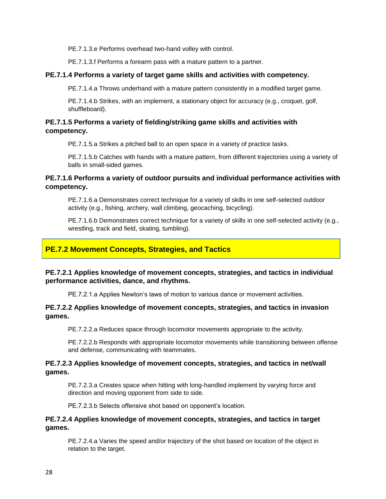PE.7.1.3.e Performs overhead two-hand volley with control.

PE.7.1.3.f Performs a forearm pass with a mature pattern to a partner.

#### **PE.7.1.4 Performs a variety of target game skills and activities with competency.**

PE.7.1.4.a Throws underhand with a mature pattern consistently in a modified target game.

PE.7.1.4.b Strikes, with an implement, a stationary object for accuracy (e.g., croquet, golf, shuffleboard).

#### **PE.7.1.5 Performs a variety of fielding/striking game skills and activities with competency.**

PE.7.1.5.a Strikes a pitched ball to an open space in a variety of practice tasks.

PE.7.1.5.b Catches with hands with a mature pattern, from different trajectories using a variety of balls in small-sided games.

#### **PE.7.1.6 Performs a variety of outdoor pursuits and individual performance activities with competency.**

PE.7.1.6.a Demonstrates correct technique for a variety of skills in one self-selected outdoor activity (e.g., fishing, archery, wall climbing, geocaching, bicycling).

PE.7.1.6.b Demonstrates correct technique for a variety of skills in one self-selected activity (e.g., wrestling, track and field, skating, tumbling).

#### **PE.7.2 Movement Concepts, Strategies, and Tactics**

#### **PE.7.2.1 Applies knowledge of movement concepts, strategies, and tactics in individual performance activities, dance, and rhythms.**

PE.7.2.1.a Applies Newton's laws of motion to various dance or movement activities.

#### **PE.7.2.2 Applies knowledge of movement concepts, strategies, and tactics in invasion games.**

PE.7.2.2.a Reduces space through locomotor movements appropriate to the activity.

PE.7.2.2.b Responds with appropriate locomotor movements while transitioning between offense and defense, communicating with teammates.

#### **PE.7.2.3 Applies knowledge of movement concepts, strategies, and tactics in net/wall games.**

PE.7.2.3.a Creates space when hitting with long-handled implement by varying force and direction and moving opponent from side to side.

PE.7.2.3.b Selects offensive shot based on opponent's location.

#### **PE.7.2.4 Applies knowledge of movement concepts, strategies, and tactics in target games.**

PE.7.2.4.a Varies the speed and/or trajectory of the shot based on location of the object in relation to the target.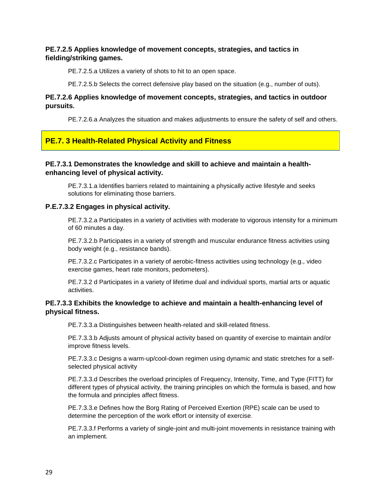#### **PE.7.2.5 Applies knowledge of movement concepts, strategies, and tactics in fielding/striking games.**

PE.7.2.5.a Utilizes a variety of shots to hit to an open space.

PE.7.2.5.b Selects the correct defensive play based on the situation (e.g., number of outs).

#### **PE.7.2.6 Applies knowledge of movement concepts, strategies, and tactics in outdoor pursuits.**

PE.7.2.6.a Analyzes the situation and makes adjustments to ensure the safety of self and others.

#### **PE.7. 3 Health-Related Physical Activity and Fitness**

#### **PE.7.3.1 Demonstrates the knowledge and skill to achieve and maintain a healthenhancing level of physical activity.**

PE.7.3.1.a Identifies barriers related to maintaining a physically active lifestyle and seeks solutions for eliminating those barriers.

#### **P.E.7.3.2 Engages in physical activity.**

PE.7.3.2.a Participates in a variety of activities with moderate to vigorous intensity for a minimum of 60 minutes a day.

PE.7.3.2.b Participates in a variety of strength and muscular endurance fitness activities using body weight (e.g., resistance bands).

PE.7.3.2.c Participates in a variety of aerobic-fitness activities using technology (e.g., video exercise games, heart rate monitors, pedometers).

PE.7.3.2 d Participates in a variety of lifetime dual and individual sports, martial arts or aquatic activities.

#### **PE.7.3.3 Exhibits the knowledge to achieve and maintain a health-enhancing level of physical fitness.**

PE.7.3.3.a Distinguishes between health-related and skill-related fitness.

PE.7.3.3.b Adjusts amount of physical activity based on quantity of exercise to maintain and/or improve fitness levels.

PE.7.3.3.c Designs a warm-up/cool-down regimen using dynamic and static stretches for a selfselected physical activity

PE.7.3.3.d Describes the overload principles of Frequency, Intensity, Time, and Type (FITT) for different types of physical activity, the training principles on which the formula is based, and how the formula and principles affect fitness.

PE.7.3.3.e Defines how the Borg Rating of Perceived Exertion (RPE) scale can be used to determine the perception of the work effort or intensity of exercise.

PE.7.3.3.f Performs a variety of single-joint and multi-joint movements in resistance training with an implement.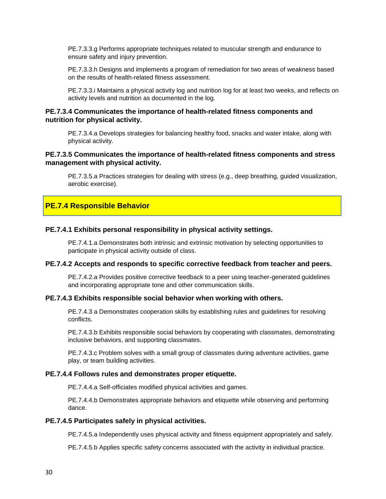PE.7.3.3.g Performs appropriate techniques related to muscular strength and endurance to ensure safety and injury prevention.

PE.7.3.3.h Designs and implements a program of remediation for two areas of weakness based on the results of health-related fitness assessment.

PE.7.3.3.i Maintains a physical activity log and nutrition log for at least two weeks, and reflects on activity levels and nutrition as documented in the log.

#### **PE.7.3.4 Communicates the importance of health-related fitness components and nutrition for physical activity.**

PE.7.3.4.a Develops strategies for balancing healthy food, snacks and water intake, along with physical activity.

#### **PE.7.3.5 Communicates the importance of health-related fitness components and stress management with physical activity.**

PE.7.3.5.a Practices strategies for dealing with stress (e.g., deep breathing, guided visualization, aerobic exercise).

#### **PE.7.4 Responsible Behavior**

#### **PE.7.4.1 Exhibits personal responsibility in physical activity settings.**

PE.7.4.1.a Demonstrates both intrinsic and extrinsic motivation by selecting opportunities to participate in physical activity outside of class.

#### **PE.7.4.2 Accepts and responds to specific corrective feedback from teacher and peers.**

PE.7.4.2.a Provides positive corrective feedback to a peer using teacher-generated guidelines and incorporating appropriate tone and other communication skills.

#### **PE.7.4.3 Exhibits responsible social behavior when working with others.**

PE.7.4.3 a Demonstrates cooperation skills by establishing rules and guidelines for resolving conflicts.

PE.7.4.3.b Exhibits responsible social behaviors by cooperating with classmates, demonstrating inclusive behaviors, and supporting classmates.

PE.7.4.3.c Problem solves with a small group of classmates during adventure activities, game play, or team building activities.

#### **PE.7.4.4 Follows rules and demonstrates proper etiquette.**

PE.7.4.4.a Self-officiates modified physical activities and games.

PE.7.4.4.b Demonstrates appropriate behaviors and etiquette while observing and performing dance.

#### **PE.7.4.5 Participates safely in physical activities.**

PE.7.4.5.a Independently uses physical activity and fitness equipment appropriately and safely.

PE.7.4.5.b Applies specific safety concerns associated with the activity in individual practice.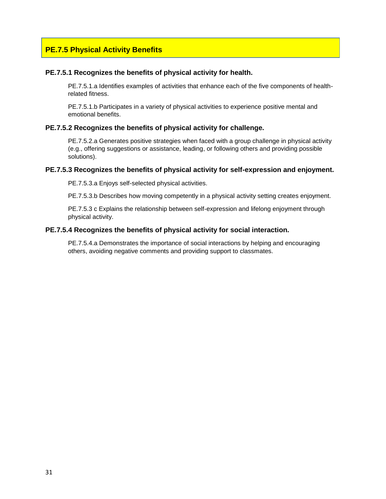#### **PE.7.5 Physical Activity Benefits**

#### **PE.7.5.1 Recognizes the benefits of physical activity for health.**

PE.7.5.1.a Identifies examples of activities that enhance each of the five components of healthrelated fitness.

PE.7.5.1.b Participates in a variety of physical activities to experience positive mental and emotional benefits.

#### **PE.7.5.2 Recognizes the benefits of physical activity for challenge.**

PE.7.5.2.a Generates positive strategies when faced with a group challenge in physical activity (e.g., offering suggestions or assistance, leading, or following others and providing possible solutions).

#### **PE.7.5.3 Recognizes the benefits of physical activity for self-expression and enjoyment.**

PE.7.5.3.a Enjoys self-selected physical activities.

PE.7.5.3.b Describes how moving competently in a physical activity setting creates enjoyment.

PE.7.5.3 c Explains the relationship between self-expression and lifelong enjoyment through physical activity.

#### **PE.7.5.4 Recognizes the benefits of physical activity for social interaction.**

PE.7.5.4.a Demonstrates the importance of social interactions by helping and encouraging others, avoiding negative comments and providing support to classmates.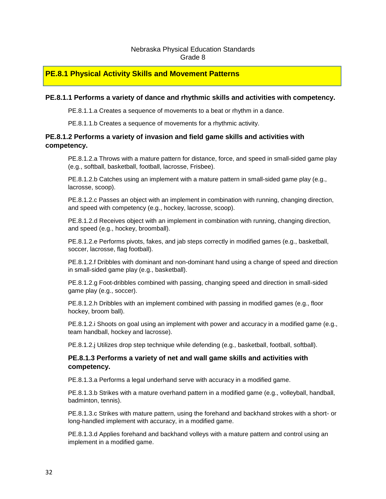#### Nebraska Physical Education Standards Grade 8

#### **PE.8.1 Physical Activity Skills and Movement Patterns**

#### **PE.8.1.1 Performs a variety of dance and rhythmic skills and activities with competency.**

PE.8.1.1.a Creates a sequence of movements to a beat or rhythm in a dance.

PE.8.1.1.b Creates a sequence of movements for a rhythmic activity.

#### **PE.8.1.2 Performs a variety of invasion and field game skills and activities with competency.**

PE.8.1.2.a Throws with a mature pattern for distance, force, and speed in small-sided game play (e.g., softball, basketball, football, lacrosse, Frisbee).

PE.8.1.2.b Catches using an implement with a mature pattern in small-sided game play (e.g., lacrosse, scoop).

PE.8.1.2.c Passes an object with an implement in combination with running, changing direction, and speed with competency (e.g., hockey, lacrosse, scoop).

PE.8.1.2.d Receives object with an implement in combination with running, changing direction, and speed (e.g., hockey, broomball).

PE.8.1.2.e Performs pivots, fakes, and jab steps correctly in modified games (e.g., basketball, soccer, lacrosse, flag football).

PE.8.1.2.f Dribbles with dominant and non-dominant hand using a change of speed and direction in small-sided game play (e.g., basketball).

PE.8.1.2.g Foot-dribbles combined with passing, changing speed and direction in small-sided game play (e.g., soccer).

PE.8.1.2.h Dribbles with an implement combined with passing in modified games (e.g., floor hockey, broom ball).

PE.8.1.2.i Shoots on goal using an implement with power and accuracy in a modified game (e.g., team handball, hockey and lacrosse).

PE.8.1.2.j Utilizes drop step technique while defending (e.g., basketball, football, softball).

#### **PE.8.1.3 Performs a variety of net and wall game skills and activities with competency.**

PE.8.1.3.a Performs a legal underhand serve with accuracy in a modified game.

PE.8.1.3.b Strikes with a mature overhand pattern in a modified game (e.g., volleyball, handball, badminton, tennis).

PE.8.1.3.c Strikes with mature pattern, using the forehand and backhand strokes with a short- or long-handled implement with accuracy, in a modified game.

PE.8.1.3.d Applies forehand and backhand volleys with a mature pattern and control using an implement in a modified game.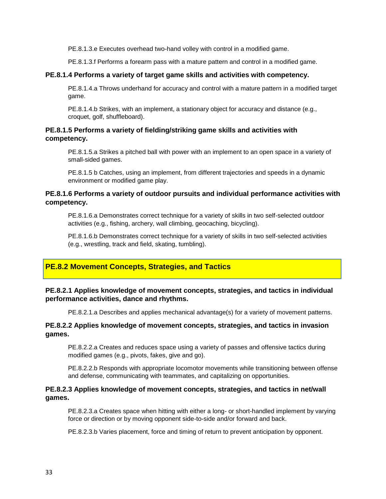PE.8.1.3.e Executes overhead two-hand volley with control in a modified game.

PE.8.1.3.f Performs a forearm pass with a mature pattern and control in a modified game.

#### **PE.8.1.4 Performs a variety of target game skills and activities with competency.**

PE.8.1.4.a Throws underhand for accuracy and control with a mature pattern in a modified target game.

PE.8.1.4.b Strikes, with an implement, a stationary object for accuracy and distance (e.g., croquet, golf, shuffleboard).

#### **PE.8.1.5 Performs a variety of fielding/striking game skills and activities with competency.**

PE.8.1.5.a Strikes a pitched ball with power with an implement to an open space in a variety of small-sided games.

PE.8.1.5 b Catches, using an implement, from different trajectories and speeds in a dynamic environment or modified game play.

#### **PE.8.1.6 Performs a variety of outdoor pursuits and individual performance activities with competency.**

PE.8.1.6.a Demonstrates correct technique for a variety of skills in two self-selected outdoor activities (e.g., fishing, archery, wall climbing, geocaching, bicycling).

PE.8.1.6.b Demonstrates correct technique for a variety of skills in two self-selected activities (e.g., wrestling, track and field, skating, tumbling).

#### **PE.8.2 Movement Concepts, Strategies, and Tactics**

#### **PE.8.2.1 Applies knowledge of movement concepts, strategies, and tactics in individual performance activities, dance and rhythms.**

PE.8.2.1.a Describes and applies mechanical advantage(s) for a variety of movement patterns.

#### **PE.8.2.2 Applies knowledge of movement concepts, strategies, and tactics in invasion games.**

PE.8.2.2.a Creates and reduces space using a variety of passes and offensive tactics during modified games (e.g., pivots, fakes, give and go).

PE.8.2.2.b Responds with appropriate locomotor movements while transitioning between offense and defense, communicating with teammates, and capitalizing on opportunities.

#### **PE.8.2.3 Applies knowledge of movement concepts, strategies, and tactics in net/wall games.**

PE.8.2.3.a Creates space when hitting with either a long- or short-handled implement by varying force or direction or by moving opponent side-to-side and/or forward and back.

PE.8.2.3.b Varies placement, force and timing of return to prevent anticipation by opponent.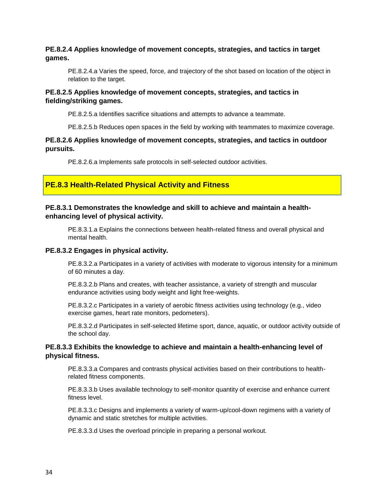#### **PE.8.2.4 Applies knowledge of movement concepts, strategies, and tactics in target games.**

PE.8.2.4.a Varies the speed, force, and trajectory of the shot based on location of the object in relation to the target.

#### **PE.8.2.5 Applies knowledge of movement concepts, strategies, and tactics in fielding/striking games.**

PE.8.2.5.a Identifies sacrifice situations and attempts to advance a teammate.

PE.8.2.5.b Reduces open spaces in the field by working with teammates to maximize coverage.

#### **PE.8.2.6 Applies knowledge of movement concepts, strategies, and tactics in outdoor pursuits.**

PE.8.2.6.a Implements safe protocols in self-selected outdoor activities.

#### **PE.8.3 Health-Related Physical Activity and Fitness**

#### **PE.8.3.1 Demonstrates the knowledge and skill to achieve and maintain a healthenhancing level of physical activity.**

PE.8.3.1.a Explains the connections between health-related fitness and overall physical and mental health.

#### **PE.8.3.2 Engages in physical activity.**

PE.8.3.2.a Participates in a variety of activities with moderate to vigorous intensity for a minimum of 60 minutes a day.

PE.8.3.2.b Plans and creates, with teacher assistance, a variety of strength and muscular endurance activities using body weight and light free-weights.

PE.8.3.2.c Participates in a variety of aerobic fitness activities using technology (e.g., video exercise games, heart rate monitors, pedometers).

PE.8.3.2.d Participates in self-selected lifetime sport, dance, aquatic, or outdoor activity outside of the school day.

#### **PE.8.3.3 Exhibits the knowledge to achieve and maintain a health-enhancing level of physical fitness.**

PE.8.3.3.a Compares and contrasts physical activities based on their contributions to healthrelated fitness components.

PE.8.3.3.b Uses available technology to self-monitor quantity of exercise and enhance current fitness level.

PE.8.3.3.c Designs and implements a variety of warm-up/cool-down regimens with a variety of dynamic and static stretches for multiple activities.

PE.8.3.3.d Uses the overload principle in preparing a personal workout.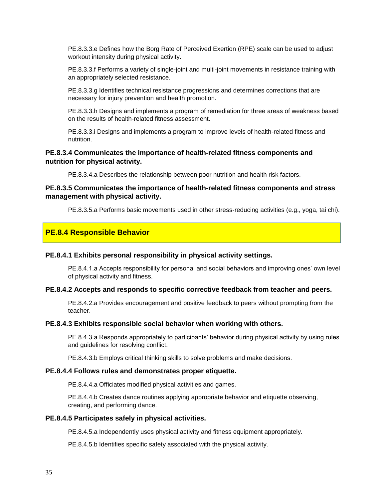PE.8.3.3.e Defines how the Borg Rate of Perceived Exertion (RPE) scale can be used to adjust workout intensity during physical activity.

PE.8.3.3.f Performs a variety of single-joint and multi-joint movements in resistance training with an appropriately selected resistance.

PE.8.3.3.g Identifies technical resistance progressions and determines corrections that are necessary for injury prevention and health promotion.

PE.8.3.3.h Designs and implements a program of remediation for three areas of weakness based on the results of health-related fitness assessment.

PE.8.3.3.i Designs and implements a program to improve levels of health-related fitness and nutrition.

#### **PE.8.3.4 Communicates the importance of health-related fitness components and nutrition for physical activity.**

PE.8.3.4.a Describes the relationship between poor nutrition and health risk factors.

#### **PE.8.3.5 Communicates the importance of health-related fitness components and stress management with physical activity.**

PE.8.3.5.a Performs basic movements used in other stress-reducing activities (e.g., yoga, tai chi).

#### **PE.8.4 Responsible Behavior**

#### **PE.8.4.1 Exhibits personal responsibility in physical activity settings.**

PE.8.4.1.a Accepts responsibility for personal and social behaviors and improving ones' own level of physical activity and fitness.

#### **PE.8.4.2 Accepts and responds to specific corrective feedback from teacher and peers.**

PE.8.4.2.a Provides encouragement and positive feedback to peers without prompting from the teacher.

#### **PE.8.4.3 Exhibits responsible social behavior when working with others.**

PE.8.4.3.a Responds appropriately to participants' behavior during physical activity by using rules and guidelines for resolving conflict.

PE.8.4.3.b Employs critical thinking skills to solve problems and make decisions.

#### **PE.8.4.4 Follows rules and demonstrates proper etiquette.**

PE.8.4.4.a Officiates modified physical activities and games.

PE.8.4.4.b Creates dance routines applying appropriate behavior and etiquette observing, creating, and performing dance.

#### **PE.8.4.5 Participates safely in physical activities.**

PE.8.4.5.a Independently uses physical activity and fitness equipment appropriately.

PE.8.4.5.b Identifies specific safety associated with the physical activity.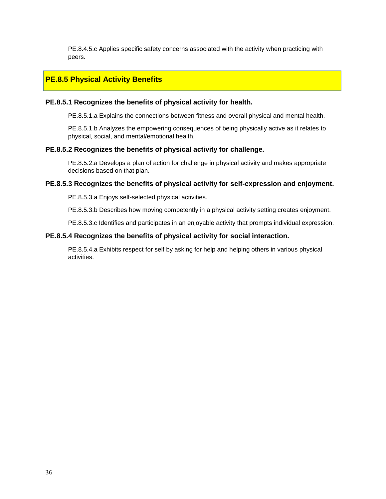PE.8.4.5.c Applies specific safety concerns associated with the activity when practicing with peers.

#### **PE.8.5 Physical Activity Benefits**

#### **PE.8.5.1 Recognizes the benefits of physical activity for health.**

PE.8.5.1.a Explains the connections between fitness and overall physical and mental health.

PE.8.5.1.b Analyzes the empowering consequences of being physically active as it relates to physical, social, and mental/emotional health.

#### **PE.8.5.2 Recognizes the benefits of physical activity for challenge.**

PE.8.5.2.a Develops a plan of action for challenge in physical activity and makes appropriate decisions based on that plan.

#### **PE.8.5.3 Recognizes the benefits of physical activity for self-expression and enjoyment.**

PE.8.5.3.a Enjoys self-selected physical activities.

PE.8.5.3.b Describes how moving competently in a physical activity setting creates enjoyment.

PE.8.5.3.c Identifies and participates in an enjoyable activity that prompts individual expression.

#### **PE.8.5.4 Recognizes the benefits of physical activity for social interaction.**

PE.8.5.4.a Exhibits respect for self by asking for help and helping others in various physical activities.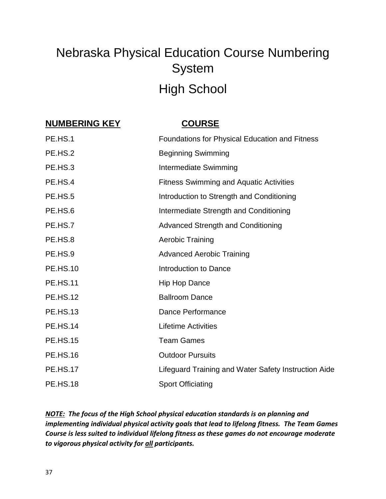## Nebraska Physical Education Course Numbering System High School

### **NUMBERING KEY COURSE**

| PE.HS.1         | Foundations for Physical Education and Fitness       |
|-----------------|------------------------------------------------------|
| PE.HS.2         | <b>Beginning Swimming</b>                            |
| PE.HS.3         | <b>Intermediate Swimming</b>                         |
| PE.HS.4         | <b>Fitness Swimming and Aquatic Activities</b>       |
| PE.HS.5         | Introduction to Strength and Conditioning            |
| PE.HS.6         | Intermediate Strength and Conditioning               |
| PE.HS.7         | <b>Advanced Strength and Conditioning</b>            |
| PE.HS.8         | <b>Aerobic Training</b>                              |
| PE.HS.9         | <b>Advanced Aerobic Training</b>                     |
| <b>PE.HS.10</b> | Introduction to Dance                                |
| <b>PE.HS.11</b> | <b>Hip Hop Dance</b>                                 |
| <b>PE.HS.12</b> | <b>Ballroom Dance</b>                                |
| <b>PE.HS.13</b> | Dance Performance                                    |
| <b>PE.HS.14</b> | <b>Lifetime Activities</b>                           |
| <b>PE.HS.15</b> | <b>Team Games</b>                                    |
| <b>PE.HS.16</b> | <b>Outdoor Pursuits</b>                              |
| <b>PE.HS.17</b> | Lifeguard Training and Water Safety Instruction Aide |
| <b>PE.HS.18</b> | <b>Sport Officiating</b>                             |

*NOTE: The focus of the High School physical education standards is on planning and implementing individual physical activity goals that lead to lifelong fitness. The Team Games Course is less suited to individual lifelong fitness as these games do not encourage moderate to vigorous physical activity for all participants.*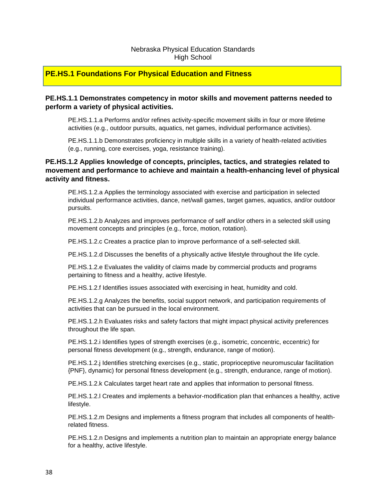#### Nebraska Physical Education Standards High School

#### **PE.HS.1 Foundations For Physical Education and Fitness**

#### **PE.HS.1.1 Demonstrates competency in motor skills and movement patterns needed to perform a variety of physical activities.**

PE.HS.1.1.a Performs and/or refines activity-specific movement skills in four or more lifetime activities (e.g., outdoor pursuits, aquatics, net games, individual performance activities).

PE.HS.1.1.b Demonstrates proficiency in multiple skills in a variety of health-related activities (e.g., running, core exercises, yoga, resistance training).

#### **PE.HS.1.2 Applies knowledge of concepts, principles, tactics, and strategies related to movement and performance to achieve and maintain a health-enhancing level of physical activity and fitness.**

PE.HS.1.2.a Applies the terminology associated with exercise and participation in selected individual performance activities, dance, net/wall games, target games, aquatics, and/or outdoor pursuits.

PE.HS.1.2.b Analyzes and improves performance of self and/or others in a selected skill using movement concepts and principles (e.g., force, motion, rotation).

PE.HS.1.2.c Creates a practice plan to improve performance of a self-selected skill.

PE.HS.1.2.d Discusses the benefits of a physically active lifestyle throughout the life cycle.

PE.HS.1.2.e Evaluates the validity of claims made by commercial products and programs pertaining to fitness and a healthy, active lifestyle.

PE.HS.1.2.f Identifies issues associated with exercising in heat, humidity and cold.

PE.HS.1.2.g Analyzes the benefits, social support network, and participation requirements of activities that can be pursued in the local environment.

PE.HS.1.2.h Evaluates risks and safety factors that might impact physical activity preferences throughout the life span.

PE.HS.1.2.i Identifies types of strength exercises (e.g., isometric, concentric, eccentric) for personal fitness development (e.g., strength, endurance, range of motion).

PE.HS.1.2.j Identifies stretching exercises (e.g., static, proprioceptive neuromuscular facilitation {PNF}, dynamic) for personal fitness development (e.g., strength, endurance, range of motion).

PE.HS.1.2.k Calculates target heart rate and applies that information to personal fitness.

PE.HS.1.2.l Creates and implements a behavior-modification plan that enhances a healthy, active lifestyle.

PE.HS.1.2.m Designs and implements a fitness program that includes all components of healthrelated fitness.

PE.HS.1.2.n Designs and implements a nutrition plan to maintain an appropriate energy balance for a healthy, active lifestyle.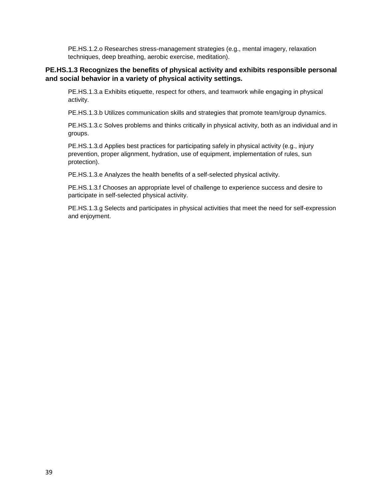PE.HS.1.2.o Researches stress-management strategies (e.g., mental imagery, relaxation techniques, deep breathing, aerobic exercise, meditation).

#### **PE.HS.1.3 Recognizes the benefits of physical activity and exhibits responsible personal and social behavior in a variety of physical activity settings.**

PE.HS.1.3*.*a Exhibits etiquette, respect for others, and teamwork while engaging in physical activity.

PE.HS.1.3.b Utilizes communication skills and strategies that promote team/group dynamics.

PE.HS.1.3*.*c Solves problems and thinks critically in physical activity, both as an individual and in groups.

PE.HS.1.3*.*d Applies best practices for participating safely in physical activity (e.g., injury prevention, proper alignment, hydration, use of equipment, implementation of rules, sun protection).

PE.HS.1.3.e Analyzes the health benefits of a self-selected physical activity.

PE.HS.1.3*.*f Chooses an appropriate level of challenge to experience success and desire to participate in self-selected physical activity.

PE.HS.1.3*.*g Selects and participates in physical activities that meet the need for self-expression and enjoyment.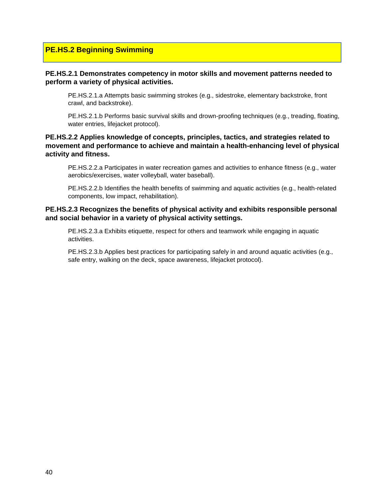#### **PE.HS.2 Beginning Swimming**

#### **PE.HS.2.1 Demonstrates competency in motor skills and movement patterns needed to perform a variety of physical activities.**

PE.HS.2.1.a Attempts basic swimming strokes (e.g., sidestroke, elementary backstroke, front crawl, and backstroke).

PE.HS.2.1.b Performs basic survival skills and drown-proofing techniques (e.g., treading, floating, water entries, lifejacket protocol).

#### **PE.HS.2.2 Applies knowledge of concepts, principles, tactics, and strategies related to movement and performance to achieve and maintain a health-enhancing level of physical activity and fitness.**

PE.HS.2.2.a Participates in water recreation games and activities to enhance fitness (e.g., water aerobics/exercises, water volleyball, water baseball).

PE.HS.2.2.b Identifies the health benefits of swimming and aquatic activities (e.g., health-related components, low impact, rehabilitation).

#### **PE.HS.2.3 Recognizes the benefits of physical activity and exhibits responsible personal and social behavior in a variety of physical activity settings.**

PE.HS.2.3.a Exhibits etiquette, respect for others and teamwork while engaging in aquatic activities.

PE.HS.2.3.b Applies best practices for participating safely in and around aquatic activities (e.g., safe entry, walking on the deck, space awareness, lifejacket protocol).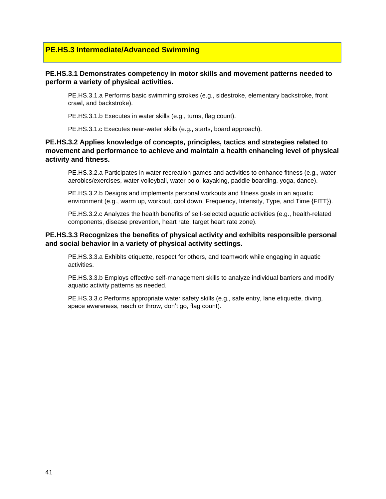#### **PE.HS.3 Intermediate/Advanced Swimming**

#### **PE.HS.3.1 Demonstrates competency in motor skills and movement patterns needed to perform a variety of physical activities.**

PE.HS.3.1.a Performs basic swimming strokes (e.g., sidestroke, elementary backstroke, front crawl, and backstroke).

PE.HS.3.1.b Executes in water skills (e.g., turns, flag count).

PE.HS.3.1.c Executes near-water skills (e.g., starts, board approach).

#### **PE.HS.3.2 Applies knowledge of concepts, principles, tactics and strategies related to movement and performance to achieve and maintain a health enhancing level of physical activity and fitness.**

PE.HS.3.2.a Participates in water recreation games and activities to enhance fitness (e.g., water aerobics/exercises, water volleyball, water polo, kayaking, paddle boarding, yoga, dance).

PE.HS.3.2.b Designs and implements personal workouts and fitness goals in an aquatic environment (e.g., warm up, workout, cool down, Frequency, Intensity, Type, and Time {FITT}).

PE.HS.3.2.c Analyzes the health benefits of self-selected aquatic activities (e.g., health-related components, disease prevention, heart rate, target heart rate zone).

#### **PE.HS.3.3 Recognizes the benefits of physical activity and exhibits responsible personal and social behavior in a variety of physical activity settings.**

PE.HS.3.3.a Exhibits etiquette, respect for others, and teamwork while engaging in aquatic activities.

PE.HS.3.3.b Employs effective self-management skills to analyze individual barriers and modify aquatic activity patterns as needed.

PE.HS.3.3.c Performs appropriate water safety skills (e.g., safe entry, lane etiquette, diving, space awareness, reach or throw, don't go, flag count).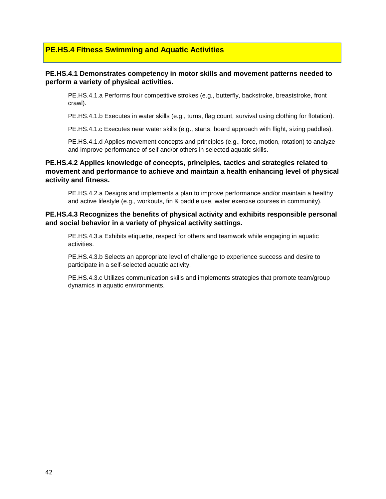#### **PE.HS.4 Fitness Swimming and Aquatic Activities**

#### **PE.HS.4.1 Demonstrates competency in motor skills and movement patterns needed to perform a variety of physical activities.**

PE.HS.4.1.a Performs four competitive strokes (e.g., butterfly, backstroke, breaststroke, front crawl).

PE.HS.4.1.b Executes in water skills (e.g., turns, flag count, survival using clothing for flotation).

PE.HS.4.1.c Executes near water skills (e.g., starts, board approach with flight, sizing paddles).

PE.HS.4.1.d Applies movement concepts and principles (e.g., force, motion, rotation) to analyze and improve performance of self and/or others in selected aquatic skills.

#### **PE.HS.4.2 Applies knowledge of concepts, principles, tactics and strategies related to movement and performance to achieve and maintain a health enhancing level of physical activity and fitness.**

PE.HS.4.2.a Designs and implements a plan to improve performance and/or maintain a healthy and active lifestyle (e.g., workouts, fin & paddle use, water exercise courses in community).

#### **PE.HS.4.3 Recognizes the benefits of physical activity and exhibits responsible personal and social behavior in a variety of physical activity settings.**

PE.HS.4.3.a Exhibits etiquette, respect for others and teamwork while engaging in aquatic activities.

PE.HS.4.3.b Selects an appropriate level of challenge to experience success and desire to participate in a self-selected aquatic activity.

PE.HS.4.3.c Utilizes communication skills and implements strategies that promote team/group dynamics in aquatic environments.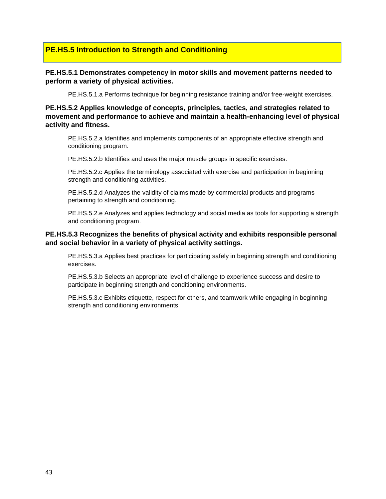#### **PE.HS.5 Introduction to Strength and Conditioning**

#### **PE.HS.5.1 Demonstrates competency in motor skills and movement patterns needed to perform a variety of physical activities.**

PE.HS.5.1.a Performs technique for beginning resistance training and/or free-weight exercises.

**PE.HS.5.2 Applies knowledge of concepts, principles, tactics, and strategies related to movement and performance to achieve and maintain a health-enhancing level of physical activity and fitness.**

PE.HS.5.2.a Identifies and implements components of an appropriate effective strength and conditioning program.

PE.HS.5.2.b Identifies and uses the major muscle groups in specific exercises.

PE.HS.5.2.c Applies the terminology associated with exercise and participation in beginning strength and conditioning activities.

PE.HS.5.2.d Analyzes the validity of claims made by commercial products and programs pertaining to strength and conditioning.

PE.HS.5.2.e Analyzes and applies technology and social media as tools for supporting a strength and conditioning program.

#### **PE.HS.5.3 Recognizes the benefits of physical activity and exhibits responsible personal and social behavior in a variety of physical activity settings.**

PE.HS.5.3.a Applies best practices for participating safely in beginning strength and conditioning exercises.

PE.HS.5.3.b Selects an appropriate level of challenge to experience success and desire to participate in beginning strength and conditioning environments.

PE.HS.5.3.c Exhibits etiquette, respect for others, and teamwork while engaging in beginning strength and conditioning environments.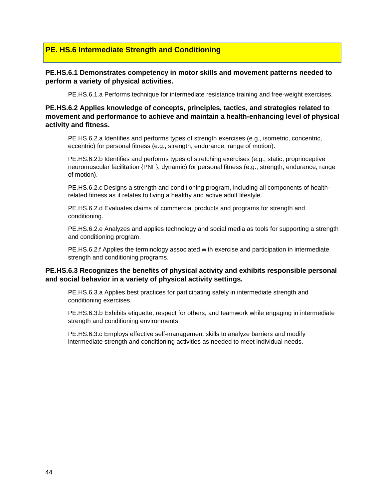#### **PE. HS.6 Intermediate Strength and Conditioning**

#### **PE.HS.6.1 Demonstrates competency in motor skills and movement patterns needed to perform a variety of physical activities.**

PE.HS.6.1.a Performs technique for intermediate resistance training and free-weight exercises.

#### **PE.HS.6.2 Applies knowledge of concepts, principles, tactics, and strategies related to movement and performance to achieve and maintain a health-enhancing level of physical activity and fitness.**

PE.HS.6.2.a Identifies and performs types of strength exercises (e.g., isometric, concentric, eccentric) for personal fitness (e.g., strength, endurance, range of motion).

PE.HS.6.2.b Identifies and performs types of stretching exercises (e.g., static, proprioceptive neuromuscular facilitation {PNF}, dynamic) for personal fitness (e.g., strength, endurance, range of motion).

PE.HS.6.2.c Designs a strength and conditioning program, including all components of healthrelated fitness as it relates to living a healthy and active adult lifestyle.

PE.HS.6.2.d Evaluates claims of commercial products and programs for strength and conditioning.

PE.HS.6.2.e Analyzes and applies technology and social media as tools for supporting a strength and conditioning program.

PE.HS.6.2.f Applies the terminology associated with exercise and participation in intermediate strength and conditioning programs.

#### **PE.HS.6.3 Recognizes the benefits of physical activity and exhibits responsible personal and social behavior in a variety of physical activity settings.**

PE.HS.6.3.a Applies best practices for participating safely in intermediate strength and conditioning exercises.

PE.HS.6.3.b Exhibits etiquette, respect for others, and teamwork while engaging in intermediate strength and conditioning environments.

PE.HS.6.3.c Employs effective self-management skills to analyze barriers and modify intermediate strength and conditioning activities as needed to meet individual needs.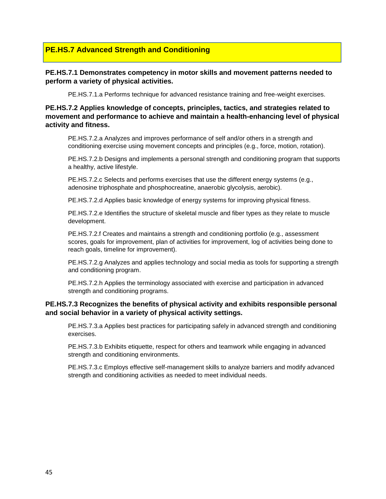#### **PE.HS.7 Advanced Strength and Conditioning**

#### **PE.HS.7.1 Demonstrates competency in motor skills and movement patterns needed to perform a variety of physical activities.**

PE.HS.7.1.a Performs technique for advanced resistance training and free-weight exercises.

**PE.HS.7.2 Applies knowledge of concepts, principles, tactics, and strategies related to movement and performance to achieve and maintain a health-enhancing level of physical activity and fitness.**

PE.HS.7.2.a Analyzes and improves performance of self and/or others in a strength and conditioning exercise using movement concepts and principles (e.g., force, motion, rotation).

PE.HS.7.2.b Designs and implements a personal strength and conditioning program that supports a healthy, active lifestyle.

PE.HS.7.2.c Selects and performs exercises that use the different energy systems (e.g., adenosine triphosphate and phosphocreatine, anaerobic glycolysis, aerobic).

PE.HS.7.2.d Applies basic knowledge of energy systems for improving physical fitness.

PE.HS.7.2.e Identifies the structure of skeletal muscle and fiber types as they relate to muscle development.

PE.HS.7.2.f Creates and maintains a strength and conditioning portfolio (e.g., assessment scores, goals for improvement, plan of activities for improvement, log of activities being done to reach goals, timeline for improvement).

PE.HS.7.2.g Analyzes and applies technology and social media as tools for supporting a strength and conditioning program.

PE.HS.7.2.h Applies the terminology associated with exercise and participation in advanced strength and conditioning programs.

#### **PE.HS.7.3 Recognizes the benefits of physical activity and exhibits responsible personal and social behavior in a variety of physical activity settings.**

PE.HS.7.3.a Applies best practices for participating safely in advanced strength and conditioning exercises.

PE.HS.7.3.b Exhibits etiquette, respect for others and teamwork while engaging in advanced strength and conditioning environments.

PE.HS.7.3.c Employs effective self-management skills to analyze barriers and modify advanced strength and conditioning activities as needed to meet individual needs.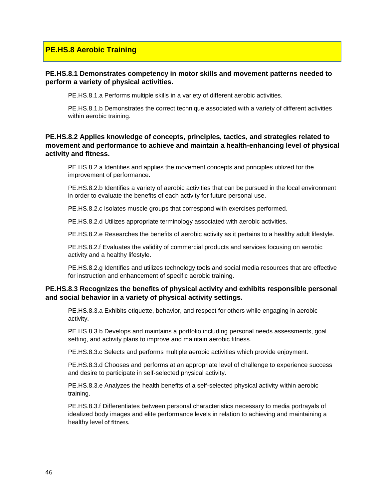#### **PE.HS.8 Aerobic Training**

#### **PE.HS.8.1 Demonstrates competency in motor skills and movement patterns needed to perform a variety of physical activities.**

PE.HS.8.1.a Performs multiple skills in a variety of different aerobic activities.

PE.HS.8.1.b Demonstrates the correct technique associated with a variety of different activities within aerobic training.

#### **PE.HS.8.2 Applies knowledge of concepts, principles, tactics, and strategies related to movement and performance to achieve and maintain a health-enhancing level of physical activity and fitness.**

PE.HS.8.2.a Identifies and applies the movement concepts and principles utilized for the improvement of performance.

PE.HS.8.2.b Identifies a variety of aerobic activities that can be pursued in the local environment in order to evaluate the benefits of each activity for future personal use.

PE.HS.8.2.c Isolates muscle groups that correspond with exercises performed.

PE.HS.8.2.d Utilizes appropriate terminology associated with aerobic activities.

PE.HS.8.2.e Researches the benefits of aerobic activity as it pertains to a healthy adult lifestyle.

PE.HS.8.2.f Evaluates the validity of commercial products and services focusing on aerobic activity and a healthy lifestyle.

PE.HS.8.2.g Identifies and utilizes technology tools and social media resources that are effective for instruction and enhancement of specific aerobic training.

#### **PE.HS.8.3 Recognizes the benefits of physical activity and exhibits responsible personal and social behavior in a variety of physical activity settings.**

PE.HS.8.3.a Exhibits etiquette, behavior, and respect for others while engaging in aerobic activity.

PE.HS.8.3.b Develops and maintains a portfolio including personal needs assessments, goal setting, and activity plans to improve and maintain aerobic fitness.

PE.HS.8.3.c Selects and performs multiple aerobic activities which provide enjoyment.

PE.HS.8.3.d Chooses and performs at an appropriate level of challenge to experience success and desire to participate in self-selected physical activity.

PE.HS.8.3.e Analyzes the health benefits of a self-selected physical activity within aerobic training.

PE.HS.8.3.f Differentiates between personal characteristics necessary to media portrayals of idealized body images and elite performance levels in relation to achieving and maintaining a healthy level of fitness.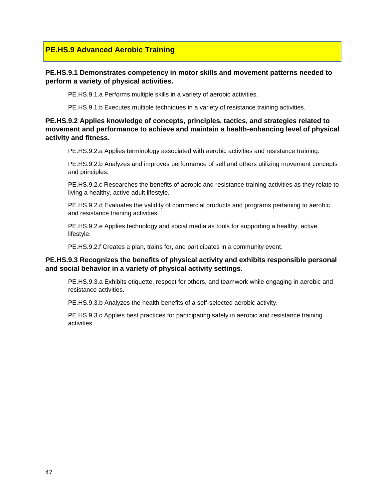#### **PE.HS.9 Advanced Aerobic Training**

#### **PE.HS.9.1 Demonstrates competency in motor skills and movement patterns needed to perform a variety of physical activities.**

PE.HS.9.1.a Performs multiple skills in a variety of aerobic activities.

PE.HS.9.1.b Executes multiple techniques in a variety of resistance training activities.

#### **PE.HS.9.2 Applies knowledge of concepts, principles, tactics, and strategies related to movement and performance to achieve and maintain a health-enhancing level of physical activity and fitness.**

PE.HS.9.2.a Applies terminology associated with aerobic activities and resistance training.

PE.HS.9.2.b Analyzes and improves performance of self and others utilizing movement concepts and principles.

PE.HS.9.2.c Researches the benefits of aerobic and resistance training activities as they relate to living a healthy, active adult lifestyle.

PE.HS.9.2.d Evaluates the validity of commercial products and programs pertaining to aerobic and resistance training activities.

PE.HS.9.2.e Applies technology and social media as tools for supporting a healthy, active lifestyle.

PE.HS.9.2.f Creates a plan, trains for, and participates in a community event.

#### **PE.HS.9.3 Recognizes the benefits of physical activity and exhibits responsible personal and social behavior in a variety of physical activity settings.**

PE.HS.9.3.a Exhibits etiquette, respect for others, and teamwork while engaging in aerobic and resistance activities.

PE.HS.9.3.b Analyzes the health benefits of a self-selected aerobic activity.

PE.HS.9.3.c Applies best practices for participating safely in aerobic and resistance training activities.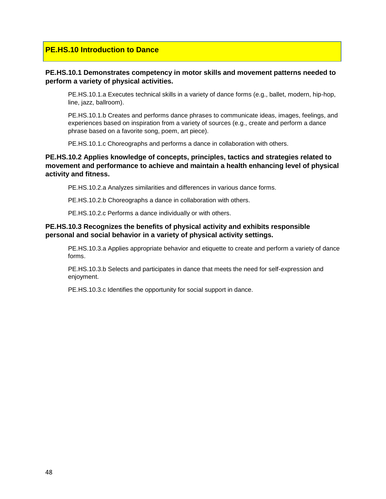#### **PE.HS.10 Introduction to Dance**

#### **PE.HS.10.1 Demonstrates competency in motor skills and movement patterns needed to perform a variety of physical activities.**

PE.HS.10.1.a Executes technical skills in a variety of dance forms (e.g., ballet, modern, hip-hop, line, jazz, ballroom).

PE.HS.10.1.b Creates and performs dance phrases to communicate ideas, images, feelings, and experiences based on inspiration from a variety of sources (e.g., create and perform a dance phrase based on a favorite song, poem, art piece).

PE.HS.10.1.c Choreographs and performs a dance in collaboration with others.

#### **PE.HS.10.2 Applies knowledge of concepts, principles, tactics and strategies related to movement and performance to achieve and maintain a health enhancing level of physical activity and fitness.**

PE.HS.10.2.a Analyzes similarities and differences in various dance forms.

PE.HS.10.2.b Choreographs a dance in collaboration with others.

PE.HS.10.2.c Performs a dance individually or with others.

#### **PE.HS.10.3 Recognizes the benefits of physical activity and exhibits responsible personal and social behavior in a variety of physical activity settings.**

PE.HS.10.3.a Applies appropriate behavior and etiquette to create and perform a variety of dance forms.

PE.HS.10.3.b Selects and participates in dance that meets the need for self-expression and enjoyment.

PE.HS.10.3.c Identifies the opportunity for social support in dance.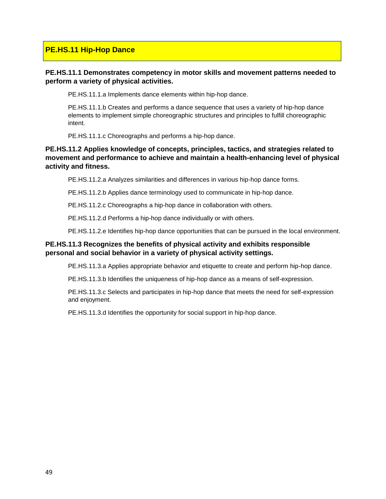#### **PE.HS.11 Hip-Hop Dance**

#### **PE.HS.11.1 Demonstrates competency in motor skills and movement patterns needed to perform a variety of physical activities.**

PE.HS.11.1.a Implements dance elements within hip-hop dance.

PE.HS.11.1.b Creates and performs a dance sequence that uses a variety of hip-hop dance elements to implement simple choreographic structures and principles to fulfill choreographic intent.

PE.HS.11.1.c Choreographs and performs a hip-hop dance.

#### **PE.HS.11.2 Applies knowledge of concepts, principles, tactics, and strategies related to movement and performance to achieve and maintain a health-enhancing level of physical activity and fitness.**

PE.HS.11.2.a Analyzes similarities and differences in various hip-hop dance forms.

PE.HS.11.2.b Applies dance terminology used to communicate in hip-hop dance.

PE.HS.11.2.c Choreographs a hip-hop dance in collaboration with others.

PE.HS.11.2.d Performs a hip-hop dance individually or with others.

PE.HS.11.2.e Identifies hip-hop dance opportunities that can be pursued in the local environment.

#### **PE.HS.11.3 Recognizes the benefits of physical activity and exhibits responsible personal and social behavior in a variety of physical activity settings.**

PE.HS.11.3.a Applies appropriate behavior and etiquette to create and perform hip-hop dance.

PE.HS.11.3.b Identifies the uniqueness of hip-hop dance as a means of self-expression.

PE.HS.11.3.c Selects and participates in hip-hop dance that meets the need for self-expression and enjoyment.

PE.HS.11.3.d Identifies the opportunity for social support in hip-hop dance.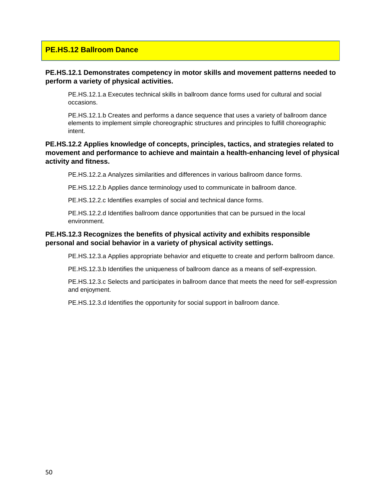#### **PE.HS.12 Ballroom Dance**

#### **PE.HS.12.1 Demonstrates competency in motor skills and movement patterns needed to perform a variety of physical activities.**

PE.HS.12.1.a Executes technical skills in ballroom dance forms used for cultural and social occasions.

PE.HS.12.1.b Creates and performs a dance sequence that uses a variety of ballroom dance elements to implement simple choreographic structures and principles to fulfill choreographic intent.

#### **PE.HS.12.2 Applies knowledge of concepts, principles, tactics, and strategies related to movement and performance to achieve and maintain a health-enhancing level of physical activity and fitness.**

PE.HS.12.2.a Analyzes similarities and differences in various ballroom dance forms.

PE.HS.12.2.b Applies dance terminology used to communicate in ballroom dance.

PE.HS.12.2.c Identifies examples of social and technical dance forms.

PE.HS.12.2.d Identifies ballroom dance opportunities that can be pursued in the local environment.

#### **PE.HS.12.3 Recognizes the benefits of physical activity and exhibits responsible personal and social behavior in a variety of physical activity settings.**

PE.HS.12.3.a Applies appropriate behavior and etiquette to create and perform ballroom dance.

PE.HS.12.3.b Identifies the uniqueness of ballroom dance as a means of self-expression.

PE.HS.12.3.c Selects and participates in ballroom dance that meets the need for self-expression and enjoyment.

PE.HS.12.3.d Identifies the opportunity for social support in ballroom dance.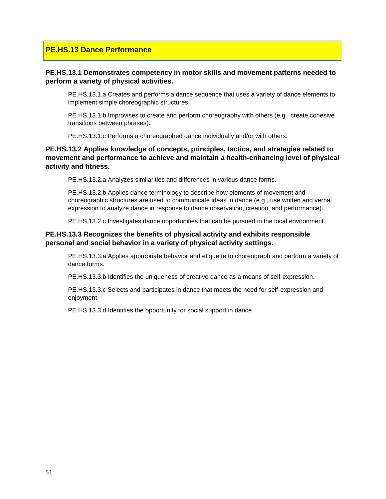#### **PE.HS.13 Dance Performance**

#### **PE.HS.13.1 Demonstrates competency in motor skills and movement patterns needed to perform a variety of physical activities.**

PE.HS.13.1.a Creates and performs a dance sequence that uses a variety of dance elements to implement simple choreographic structures.

PE.HS.13.1.b Improvises to create and perform choreography with others (e.g., create cohesive transitions between phrases).

PE.HS.13.1.c Performs a choreographed dance individually and/or with others.

#### **PE.HS.13.2 Applies knowledge of concepts, principles, tactics, and strategies related to movement and performance to achieve and maintain a health-enhancing level of physical activity and fitness.**

PE.HS.13.2.a Analyzes similarities and differences in various dance forms.

PE.HS.13.2.b Applies dance terminology to describe how elements of movement and choreographic structures are used to communicate ideas in dance (e.g., use written and verbal expression to analyze dance in response to dance observation, creation, and performance).

PE.HS.13.2.c Investigates dance opportunities that can be pursued in the local environment.

#### **PE.HS.13.3 Recognizes the benefits of physical activity and exhibits responsible personal and social behavior in a variety of physical activity settings.**

PE.HS.13.3.a Applies appropriate behavior and etiquette to choreograph and perform a variety of dance forms.

PE.HS.13.3.b Identifies the uniqueness of creative dance as a means of self-expression.

PE.HS.13.3.c Selects and participates in dance that meets the need for self-expression and enjoyment.

PE.HS.13.3.d Identifies the opportunity for social support in dance.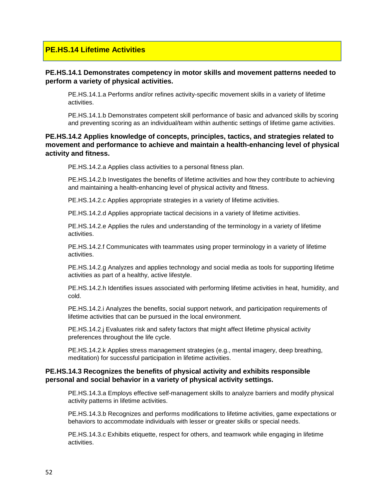#### **PE.HS.14 Lifetime Activities**

#### **PE.HS.14.1 Demonstrates competency in motor skills and movement patterns needed to perform a variety of physical activities.**

PE.HS.14.1.a Performs and/or refines activity-specific movement skills in a variety of lifetime activities.

PE.HS.14.1.b Demonstrates competent skill performance of basic and advanced skills by scoring and preventing scoring as an individual/team within authentic settings of lifetime game activities.

#### **PE.HS.14.2 Applies knowledge of concepts, principles, tactics, and strategies related to movement and performance to achieve and maintain a health-enhancing level of physical activity and fitness.**

PE.HS.14.2.a Applies class activities to a personal fitness plan.

PE.HS.14.2.b Investigates the benefits of lifetime activities and how they contribute to achieving and maintaining a health-enhancing level of physical activity and fitness.

PE.HS.14.2.c Applies appropriate strategies in a variety of lifetime activities.

PE.HS.14.2.d Applies appropriate tactical decisions in a variety of lifetime activities.

PE.HS.14.2.e Applies the rules and understanding of the terminology in a variety of lifetime activities.

PE.HS.14.2.f Communicates with teammates using proper terminology in a variety of lifetime activities.

PE.HS.14.2.g Analyzes and applies technology and social media as tools for supporting lifetime activities as part of a healthy, active lifestyle.

PE.HS.14.2.h Identifies issues associated with performing lifetime activities in heat, humidity, and cold.

PE.HS.14.2.i Analyzes the benefits, social support network, and participation requirements of lifetime activities that can be pursued in the local environment.

PE.HS.14.2.j Evaluates risk and safety factors that might affect lifetime physical activity preferences throughout the life cycle.

PE.HS.14.2.k Applies stress management strategies (e.g., mental imagery, deep breathing, meditation) for successful participation in lifetime activities.

#### **PE.HS.14.3 Recognizes the benefits of physical activity and exhibits responsible personal and social behavior in a variety of physical activity settings.**

PE.HS.14.3.a Employs effective self-management skills to analyze barriers and modify physical activity patterns in lifetime activities.

PE.HS.14.3.b Recognizes and performs modifications to lifetime activities, game expectations or behaviors to accommodate individuals with lesser or greater skills or special needs.

PE.HS.14.3.c Exhibits etiquette, respect for others, and teamwork while engaging in lifetime activities.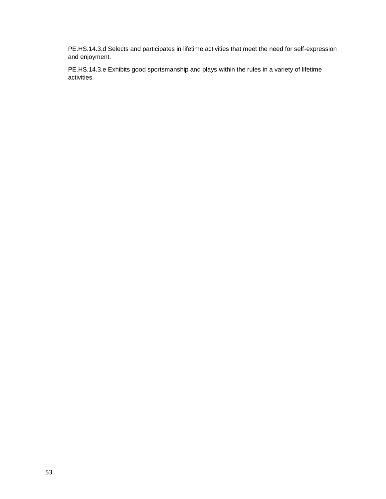PE.HS.14.3.d Selects and participates in lifetime activities that meet the need for self-expression and enjoyment.

PE.HS.14.3.e Exhibits good sportsmanship and plays within the rules in a variety of lifetime activities.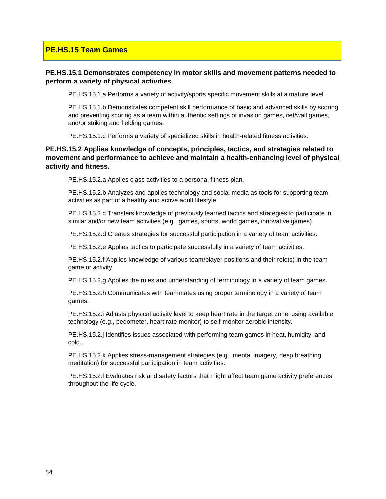#### **PE.HS.15 Team Games**

#### **PE.HS.15.1 Demonstrates competency in motor skills and movement patterns needed to perform a variety of physical activities.**

PE.HS.15.1.a Performs a variety of activity/sports specific movement skills at a mature level.

PE.HS.15.1.b Demonstrates competent skill performance of basic and advanced skills by scoring and preventing scoring as a team within authentic settings of invasion games, net/wall games, and/or striking and fielding games.

PE.HS.15.1.c Performs a variety of specialized skills in health-related fitness activities.

#### **PE.HS.15.2 Applies knowledge of concepts, principles, tactics, and strategies related to movement and performance to achieve and maintain a health-enhancing level of physical activity and fitness.**

PE.HS.15.2.a Applies class activities to a personal fitness plan.

PE.HS.15.2.b Analyzes and applies technology and social media as tools for supporting team activities as part of a healthy and active adult lifestyle.

PE.HS.15.2.c Transfers knowledge of previously learned tactics and strategies to participate in similar and/or new team activities (e.g., games, sports, world games, innovative games).

PE.HS.15.2.d Creates strategies for successful participation in a variety of team activities.

PE HS.15.2.e Applies tactics to participate successfully in a variety of team activities.

PE.HS.15.2.f Applies knowledge of various team/player positions and their role(s) in the team game or activity.

PE.HS.15.2.g Applies the rules and understanding of terminology in a variety of team games.

PE.HS.15.2.h Communicates with teammates using proper terminology in a variety of team games.

PE.HS.15.2.i Adjusts physical activity level to keep heart rate in the target zone, using available technology (e.g., pedometer, heart rate monitor) to self-monitor aerobic intensity.

PE.HS.15.2.j Identifies issues associated with performing team games in heat, humidity, and cold.

PE.HS.15.2.k Applies stress-management strategies (e.g., mental imagery, deep breathing, meditation) for successful participation in team activities.

PE.HS.15.2.l Evaluates risk and safety factors that might affect team game activity preferences throughout the life cycle.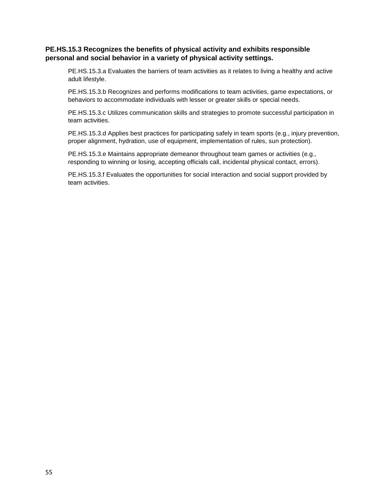#### **PE.HS.15.3 Recognizes the benefits of physical activity and exhibits responsible personal and social behavior in a variety of physical activity settings.**

PE.HS.15.3.a Evaluates the barriers of team activities as it relates to living a healthy and active adult lifestyle.

PE.HS.15.3.b Recognizes and performs modifications to team activities, game expectations, or behaviors to accommodate individuals with lesser or greater skills or special needs.

PE.HS.15.3.c Utilizes communication skills and strategies to promote successful participation in team activities.

PE.HS.15.3.d Applies best practices for participating safely in team sports (e.g., injury prevention, proper alignment, hydration, use of equipment, implementation of rules, sun protection).

PE.HS.15.3.e Maintains appropriate demeanor throughout team games or activities (e.g., responding to winning or losing, accepting officials call, incidental physical contact, errors).

PE.HS.15.3.f Evaluates the opportunities for social interaction and social support provided by team activities.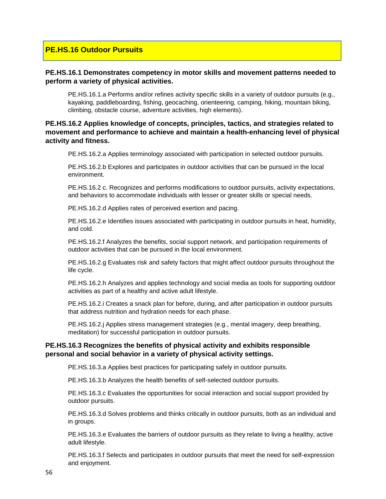#### **PE.HS.16 Outdoor Pursuits**

#### **PE.HS.16.1 Demonstrates competency in motor skills and movement patterns needed to perform a variety of physical activities.**

PE.HS.16.1.a Performs and/or refines activity specific skills in a variety of outdoor pursuits (e.g., kayaking, paddleboarding, fishing, geocaching, orienteering, camping, hiking, mountain biking, climbing, obstacle course, adventure activities, high elements).

#### **PE.HS.16.2 Applies knowledge of concepts, principles, tactics, and strategies related to movement and performance to achieve and maintain a health-enhancing level of physical activity and fitness.**

PE.HS.16.2.a Applies terminology associated with participation in selected outdoor pursuits.

PE.HS.16.2.b Explores and participates in outdoor activities that can be pursued in the local environment.

PE.HS.16.2 c. Recognizes and performs modifications to outdoor pursuits, activity expectations, and behaviors to accommodate individuals with lesser or greater skills or special needs.

PE.HS.16.2.d Applies rates of perceived exertion and pacing.

PE.HS.16.2.e Identifies issues associated with participating in outdoor pursuits in heat, humidity, and cold.

PE.HS.16.2.f Analyzes the benefits, social support network, and participation requirements of outdoor activities that can be pursued in the local environment.

PE.HS.16.2.g Evaluates risk and safety factors that might affect outdoor pursuits throughout the life cycle.

PE.HS.16.2.h Analyzes and applies technology and social media as tools for supporting outdoor activities as part of a healthy and active adult lifestyle.

PE.HS.16.2.i Creates a snack plan for before, during, and after participation in outdoor pursuits that address nutrition and hydration needs for each phase.

PE.HS.16.2.j Applies stress management strategies (e.g., mental imagery, deep breathing, meditation) for successful participation in outdoor pursuits.

#### **PE.HS.16.3 Recognizes the benefits of physical activity and exhibits responsible personal and social behavior in a variety of physical activity settings.**

PE.HS.16.3.a Applies best practices for participating safely in outdoor pursuits.

PE.HS.16.3.b Analyzes the health benefits of self-selected outdoor pursuits.

PE.HS.16.3.c Evaluates the opportunities for social interaction and social support provided by outdoor pursuits.

PE.HS.16.3.d Solves problems and thinks critically in outdoor pursuits, both as an individual and in groups.

PE.HS.16.3.e Evaluates the barriers of outdoor pursuits as they relate to living a healthy, active adult lifestyle.

PE.HS.16.3.f Selects and participates in outdoor pursuits that meet the need for self-expression and enjoyment.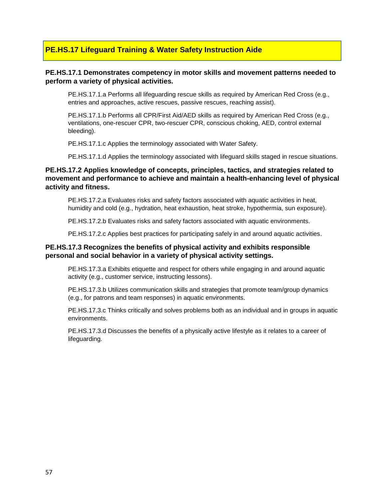#### **PE.HS.17 Lifeguard Training & Water Safety Instruction Aide**

#### **PE.HS.17.1 Demonstrates competency in motor skills and movement patterns needed to perform a variety of physical activities.**

PE.HS.17.1.a Performs all lifeguarding rescue skills as required by American Red Cross (e.g., entries and approaches, active rescues, passive rescues, reaching assist).

PE.HS.17.1.b Performs all CPR/First Aid/AED skills as required by American Red Cross (e.g., ventilations, one-rescuer CPR, two-rescuer CPR, conscious choking, AED, control external bleeding).

PE.HS.17.1.c Applies the terminology associated with Water Safety.

PE.HS.17.1.d Applies the terminology associated with lifeguard skills staged in rescue situations.

#### **PE.HS.17.2 Applies knowledge of concepts, principles, tactics, and strategies related to movement and performance to achieve and maintain a health-enhancing level of physical activity and fitness.**

PE.HS.17.2.a Evaluates risks and safety factors associated with aquatic activities in heat, humidity and cold (e.g., hydration, heat exhaustion, heat stroke, hypothermia, sun exposure).

PE.HS.17.2.b Evaluates risks and safety factors associated with aquatic environments.

PE.HS.17.2.c Applies best practices for participating safely in and around aquatic activities.

#### **PE.HS.17.3 Recognizes the benefits of physical activity and exhibits responsible personal and social behavior in a variety of physical activity settings.**

PE.HS.17.3.a Exhibits etiquette and respect for others while engaging in and around aquatic activity (e.g., customer service, instructing lessons).

PE.HS.17.3.b Utilizes communication skills and strategies that promote team/group dynamics (e.g., for patrons and team responses) in aquatic environments.

PE.HS.17.3.c Thinks critically and solves problems both as an individual and in groups in aquatic environments.

PE.HS.17.3.d Discusses the benefits of a physically active lifestyle as it relates to a career of lifeguarding.